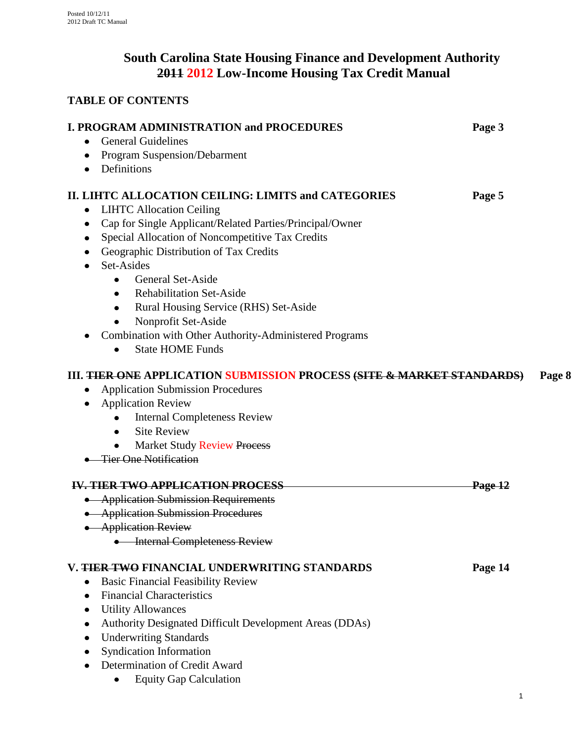# **South Carolina State Housing Finance and Development Authority 2011 2012 Low-Income Housing Tax Credit Manual**

# **TABLE OF CONTENTS**

| <b>I. PROGRAM ADMINISTRATION and PROCEDURES</b>                        | Page 3             |
|------------------------------------------------------------------------|--------------------|
| <b>General Guidelines</b>                                              |                    |
| Program Suspension/Debarment                                           |                    |
| Definitions                                                            |                    |
| <b>II. LIHTC ALLOCATION CEILING: LIMITS and CATEGORIES</b>             | Page 5             |
| <b>LIHTC Allocation Ceiling</b><br>٠                                   |                    |
| Cap for Single Applicant/Related Parties/Principal/Owner               |                    |
| Special Allocation of Noncompetitive Tax Credits                       |                    |
| Geographic Distribution of Tax Credits                                 |                    |
| Set-Asides                                                             |                    |
| <b>General Set-Aside</b><br>٠                                          |                    |
| <b>Rehabilitation Set-Aside</b><br>$\bullet$                           |                    |
| Rural Housing Service (RHS) Set-Aside<br>٠                             |                    |
| Nonprofit Set-Aside                                                    |                    |
| Combination with Other Authority-Administered Programs                 |                    |
| <b>State HOME Funds</b>                                                |                    |
| III. THER ONE APPLICATION SUBMISSION PROCESS (SITE & MARKET STANDARDS) | Page 8             |
| <b>Application Submission Procedures</b><br>٠                          |                    |
| <b>Application Review</b>                                              |                    |
| <b>Internal Completeness Review</b>                                    |                    |
| <b>Site Review</b><br>$\bullet$                                        |                    |
| <b>Market Study Review Process</b><br>$\bullet$                        |                    |
| <b>Tier One Notification</b>                                           |                    |
| <b>IV. TIER TWO APPLICATION PROCESS</b>                                | <del>Page 12</del> |
| • Application Submission Requirements                                  |                    |
| • Application Submission Procedures                                    |                    |
| • Application Review                                                   |                    |
| <b>Internal Completeness Review</b>                                    |                    |
| V. THER TWO FINANCIAL UNDERWRITING STANDARDS                           | Page 14            |
| <b>Basic Financial Feasibility Review</b><br>٠                         |                    |
| <b>Financial Characteristics</b>                                       |                    |
| <b>Utility Allowances</b>                                              |                    |
| Authority Designated Difficult Development Areas (DDAs)                |                    |
| <b>Underwriting Standards</b>                                          |                    |
| <b>Syndication Information</b>                                         |                    |
| Determination of Credit Award                                          |                    |
| <b>Equity Gap Calculation</b>                                          |                    |

1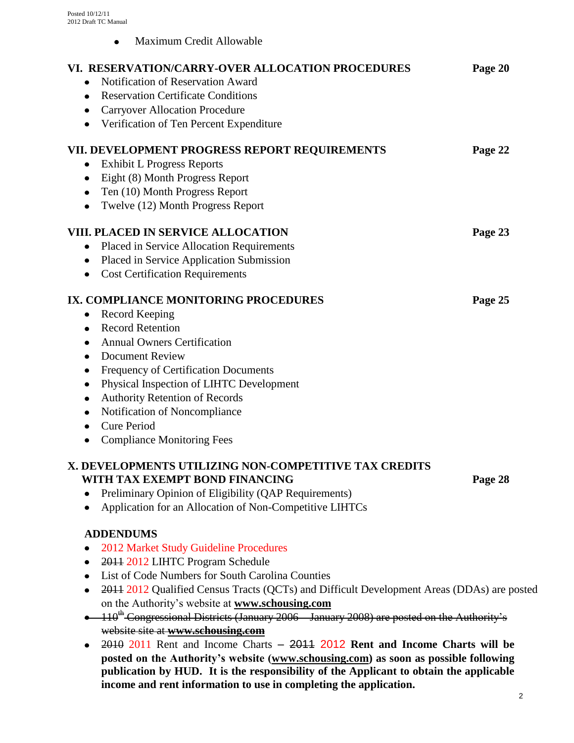Maximum Credit Allowable  $\bullet$ 

| VI. RESERVATION/CARRY-OVER ALLOCATION PROCEDURES<br>Notification of Reservation Award<br><b>Reservation Certificate Conditions</b><br><b>Carryover Allocation Procedure</b><br>Verification of Ten Percent Expenditure                                                                                                                                                     | Page 20 |
|----------------------------------------------------------------------------------------------------------------------------------------------------------------------------------------------------------------------------------------------------------------------------------------------------------------------------------------------------------------------------|---------|
| VII. DEVELOPMENT PROGRESS REPORT REQUIREMENTS<br><b>Exhibit L Progress Reports</b><br>Eight (8) Month Progress Report<br>Ten (10) Month Progress Report<br>Twelve (12) Month Progress Report                                                                                                                                                                               | Page 22 |
| VIII. PLACED IN SERVICE ALLOCATION<br>Placed in Service Allocation Requirements<br>$\bullet$<br>Placed in Service Application Submission<br><b>Cost Certification Requirements</b><br>٠                                                                                                                                                                                    | Page 23 |
| IX. COMPLIANCE MONITORING PROCEDURES<br>Record Keeping<br><b>Record Retention</b><br><b>Annual Owners Certification</b><br><b>Document Review</b><br>Frequency of Certification Documents<br>Physical Inspection of LIHTC Development<br><b>Authority Retention of Records</b><br>Notification of Noncompliance<br><b>Cure Period</b><br><b>Compliance Monitoring Fees</b> | Page 25 |
| X. DEVELOPMENTS UTILIZING NON-COMPETITIVE TAX CREDITS<br>WITH TAX EXEMPT BOND FINANCING<br>Preliminary Opinion of Eligibility (QAP Requirements)<br>Application for an Allocation of Non-Competitive LIHTCs                                                                                                                                                                | Page 28 |
| <b>ADDENDUMS</b><br>$0.01035 \pm 1.011 \pm 0.111 \pm 0.11$                                                                                                                                                                                                                                                                                                                 |         |

- 2012 Market Study Guideline Procedures
- 2011 2012 LIHTC Program Schedule
- List of Code Numbers for South Carolina Counties
- 2011 2012 Qualified Census Tracts (QCTs) and Difficult Development Areas (DDAs) are posted on the Authority's website at **[www.schousing.com](http://www.schousing.com/)**
- $\bullet$  110<sup>th</sup> Congressional Districts (January 2006 January 2008) are posted on the Authority's website site at **[www.schousing.com](http://www.schousing.com/)**
- 2010 2011 Rent and Income Charts 2011 2012 **Rent and Income Charts will be posted on the Authority's website [\(www.schousing.com\)](http://www.schousing.us/) as soon as possible following publication by HUD. It is the responsibility of the Applicant to obtain the applicable income and rent information to use in completing the application.**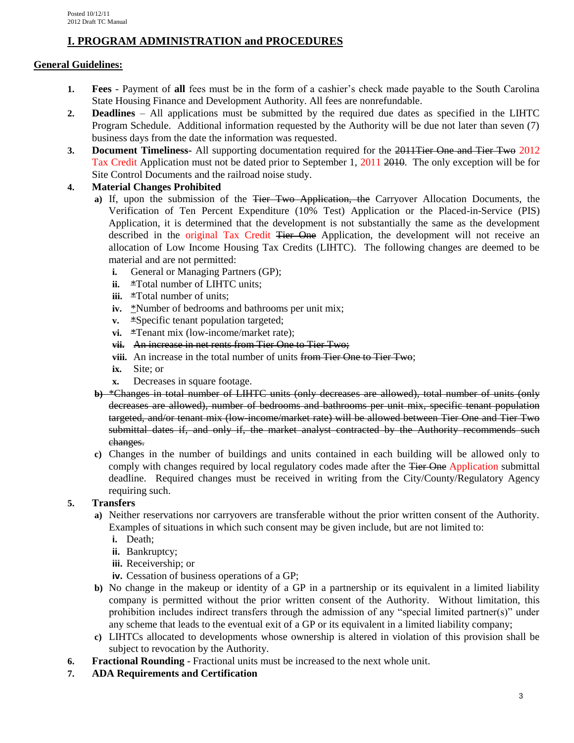## **I. PROGRAM ADMINISTRATION and PROCEDURES**

### **General Guidelines:**

- **1. Fees** Payment of **all** fees must be in the form of a cashier's check made payable to the South Carolina State Housing Finance and Development Authority. All fees are nonrefundable.
- **2. Deadlines** All applications must be submitted by the required due dates as specified in the LIHTC Program Schedule. Additional information requested by the Authority will be due not later than seven (7) business days from the date the information was requested.
- **3. Document Timeliness-** All supporting documentation required for the 2011Tier One and Tier Two 2012 Tax Credit Application must not be dated prior to September 1, 2011 2010. The only exception will be for Site Control Documents and the railroad noise study.

## **4. Material Changes Prohibited**

- **a)** If, upon the submission of the Tier Two Application, the Carryover Allocation Documents, the Verification of Ten Percent Expenditure (10% Test) Application or the Placed-in-Service (PIS) Application, it is determined that the development is not substantially the same as the development described in the original Tax Credit Tier One Application, the development will not receive an allocation of Low Income Housing Tax Credits (LIHTC). The following changes are deemed to be material and are not permitted:
	- **i.** General or Managing Partners (GP);
	- **ii.** \*Total number of LIHTC units;
	- **iii. \*Total number of units;**
	- **iv.** \*Number of bedrooms and bathrooms per unit mix;
	- **v.** \*Specific tenant population targeted;
	- **vi.** \*Tenant mix (low-income/market rate);
	- **vii.** An increase in net rents from Tier One to Tier Two;
	- **viii.** An increase in the total number of units from Tier One to Tier Two:
	- **ix.** Site; or
	- **x.** Decreases in square footage.
- **b)** \*Changes in total number of LIHTC units (only decreases are allowed), total number of units (only decreases are allowed), number of bedrooms and bathrooms per unit mix, specific tenant population targeted, and/or tenant mix (low-income/market rate) will be allowed between Tier One and Tier Two submittal dates if, and only if, the market analyst contracted by the Authority recommends such changes.
- **c)** Changes in the number of buildings and units contained in each building will be allowed only to comply with changes required by local regulatory codes made after the Tier One Application submittal deadline. Required changes must be received in writing from the City/County/Regulatory Agency requiring such.

## **5. Transfers**

- **a)** Neither reservations nor carryovers are transferable without the prior written consent of the Authority. Examples of situations in which such consent may be given include, but are not limited to:
	- **i.** Death;
	- **ii.** Bankruptcy;
	- **iii.** Receivership; or
	- **iv.** Cessation of business operations of a GP;
- **b)** No change in the makeup or identity of a GP in a partnership or its equivalent in a limited liability company is permitted without the prior written consent of the Authority. Without limitation, this prohibition includes indirect transfers through the admission of any "special limited partner(s)" under any scheme that leads to the eventual exit of a GP or its equivalent in a limited liability company;
- **c)** LIHTCs allocated to developments whose ownership is altered in violation of this provision shall be subject to revocation by the Authority.
- **6. Fractional Rounding** Fractional units must be increased to the next whole unit.
- **7. ADA Requirements and Certification**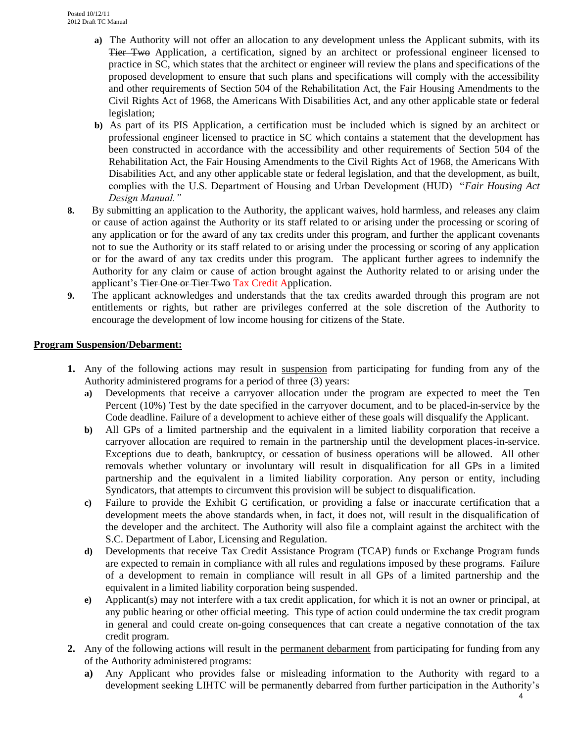- **a)** The Authority will not offer an allocation to any development unless the Applicant submits, with its Tier Two Application, a certification, signed by an architect or professional engineer licensed to practice in SC, which states that the architect or engineer will review the plans and specifications of the proposed development to ensure that such plans and specifications will comply with the accessibility and other requirements of Section 504 of the Rehabilitation Act, the Fair Housing Amendments to the Civil Rights Act of 1968, the Americans With Disabilities Act, and any other applicable state or federal legislation;
- **b)** As part of its PIS Application, a certification must be included which is signed by an architect or professional engineer licensed to practice in SC which contains a statement that the development has been constructed in accordance with the accessibility and other requirements of Section 504 of the Rehabilitation Act, the Fair Housing Amendments to the Civil Rights Act of 1968, the Americans With Disabilities Act, and any other applicable state or federal legislation, and that the development, as built, complies with the U.S. Department of Housing and Urban Development (HUD) "*Fair Housing Act Design Manual."*
- **8.** By submitting an application to the Authority, the applicant waives, hold harmless, and releases any claim or cause of action against the Authority or its staff related to or arising under the processing or scoring of any application or for the award of any tax credits under this program, and further the applicant covenants not to sue the Authority or its staff related to or arising under the processing or scoring of any application or for the award of any tax credits under this program. The applicant further agrees to indemnify the Authority for any claim or cause of action brought against the Authority related to or arising under the applicant's Tier One or Tier Two Tax Credit Application.
- **9.** The applicant acknowledges and understands that the tax credits awarded through this program are not entitlements or rights, but rather are privileges conferred at the sole discretion of the Authority to encourage the development of low income housing for citizens of the State.

### **Program Suspension/Debarment:**

- **1.** Any of the following actions may result in suspension from participating for funding from any of the Authority administered programs for a period of three (3) years:
	- **a)** Developments that receive a carryover allocation under the program are expected to meet the Ten Percent (10%) Test by the date specified in the carryover document, and to be placed-in-service by the Code deadline. Failure of a development to achieve either of these goals will disqualify the Applicant.
	- **b)** All GPs of a limited partnership and the equivalent in a limited liability corporation that receive a carryover allocation are required to remain in the partnership until the development places-in-service. Exceptions due to death, bankruptcy, or cessation of business operations will be allowed. All other removals whether voluntary or involuntary will result in disqualification for all GPs in a limited partnership and the equivalent in a limited liability corporation. Any person or entity, including Syndicators, that attempts to circumvent this provision will be subject to disqualification.
	- **c)** Failure to provide the Exhibit G certification, or providing a false or inaccurate certification that a development meets the above standards when, in fact, it does not, will result in the disqualification of the developer and the architect. The Authority will also file a complaint against the architect with the S.C. Department of Labor, Licensing and Regulation.
	- **d)** Developments that receive Tax Credit Assistance Program (TCAP) funds or Exchange Program funds are expected to remain in compliance with all rules and regulations imposed by these programs. Failure of a development to remain in compliance will result in all GPs of a limited partnership and the equivalent in a limited liability corporation being suspended.
	- **e)** Applicant(s) may not interfere with a tax credit application, for which it is not an owner or principal, at any public hearing or other official meeting. This type of action could undermine the tax credit program in general and could create on-going consequences that can create a negative connotation of the tax credit program.
- **2.** Any of the following actions will result in the permanent debarment from participating for funding from any of the Authority administered programs:
	- **a)** Any Applicant who provides false or misleading information to the Authority with regard to a development seeking LIHTC will be permanently debarred from further participation in the Authority's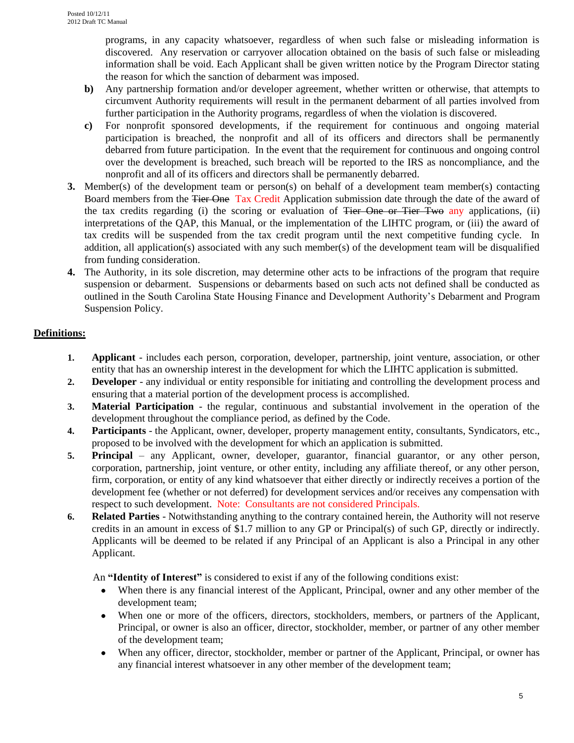programs, in any capacity whatsoever, regardless of when such false or misleading information is discovered. Any reservation or carryover allocation obtained on the basis of such false or misleading information shall be void. Each Applicant shall be given written notice by the Program Director stating the reason for which the sanction of debarment was imposed.

- **b)** Any partnership formation and/or developer agreement, whether written or otherwise, that attempts to circumvent Authority requirements will result in the permanent debarment of all parties involved from further participation in the Authority programs, regardless of when the violation is discovered.
- **c)** For nonprofit sponsored developments, if the requirement for continuous and ongoing material participation is breached, the nonprofit and all of its officers and directors shall be permanently debarred from future participation. In the event that the requirement for continuous and ongoing control over the development is breached, such breach will be reported to the IRS as noncompliance, and the nonprofit and all of its officers and directors shall be permanently debarred.
- **3.** Member(s) of the development team or person(s) on behalf of a development team member(s) contacting Board members from the <del>Tier One</del> Tax Credit Application submission date through the date of the award of the tax credits regarding (i) the scoring or evaluation of Tier One or Tier Two any applications, (ii) interpretations of the QAP, this Manual, or the implementation of the LIHTC program, or (iii) the award of tax credits will be suspended from the tax credit program until the next competitive funding cycle. In addition, all application(s) associated with any such member(s) of the development team will be disqualified from funding consideration.
- **4.** The Authority, in its sole discretion, may determine other acts to be infractions of the program that require suspension or debarment. Suspensions or debarments based on such acts not defined shall be conducted as outlined in the South Carolina State Housing Finance and Development Authority's Debarment and Program Suspension Policy.

## **Definitions:**

- **1. Applicant** includes each person, corporation, developer, partnership, joint venture, association, or other entity that has an ownership interest in the development for which the LIHTC application is submitted.
- **2. Developer** any individual or entity responsible for initiating and controlling the development process and ensuring that a material portion of the development process is accomplished.
- **3. Material Participation**  the regular, continuous and substantial involvement in the operation of the development throughout the compliance period, as defined by the Code.
- **4. Participants** the Applicant, owner, developer, property management entity, consultants, Syndicators, etc., proposed to be involved with the development for which an application is submitted.
- **5. Principal** any Applicant, owner, developer, guarantor, financial guarantor, or any other person, corporation, partnership, joint venture, or other entity, including any affiliate thereof, or any other person, firm, corporation, or entity of any kind whatsoever that either directly or indirectly receives a portion of the development fee (whether or not deferred) for development services and/or receives any compensation with respect to such development. Note: Consultants are not considered Principals.
- **6. Related Parties** Notwithstanding anything to the contrary contained herein, the Authority will not reserve credits in an amount in excess of \$1.7 million to any GP or Principal(s) of such GP, directly or indirectly. Applicants will be deemed to be related if any Principal of an Applicant is also a Principal in any other Applicant.

An **"Identity of Interest"** is considered to exist if any of the following conditions exist:

- When there is any financial interest of the Applicant, Principal, owner and any other member of the development team;
- When one or more of the officers, directors, stockholders, members, or partners of the Applicant, Principal, or owner is also an officer, director, stockholder, member, or partner of any other member of the development team;
- When any officer, director, stockholder, member or partner of the Applicant, Principal, or owner has  $\bullet$ any financial interest whatsoever in any other member of the development team;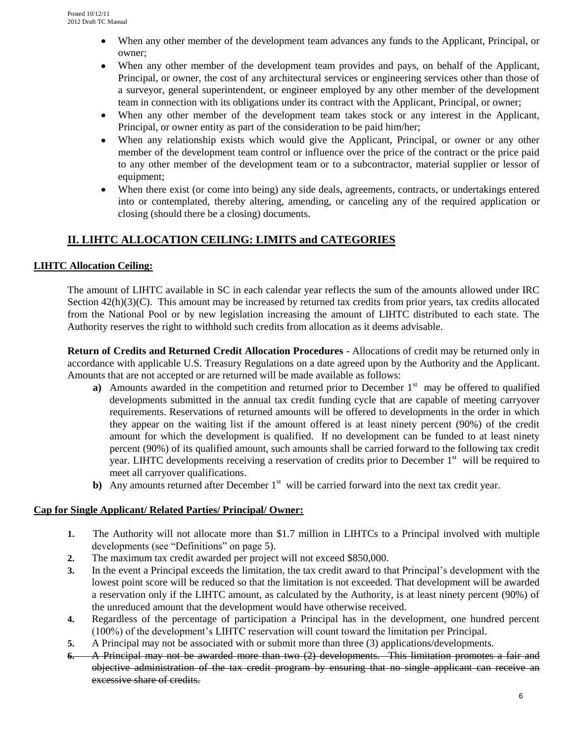- When any other member of the development team advances any funds to the Applicant, Principal, or  $\bullet$ owner;
- When any other member of the development team provides and pays, on behalf of the Applicant, Principal, or owner, the cost of any architectural services or engineering services other than those of a surveyor, general superintendent, or engineer employed by any other member of the development team in connection with its obligations under its contract with the Applicant, Principal, or owner;
- When any other member of the development team takes stock or any interest in the Applicant, Principal, or owner entity as part of the consideration to be paid him/her;
- When any relationship exists which would give the Applicant, Principal, or owner or any other member of the development team control or influence over the price of the contract or the price paid to any other member of the development team or to a subcontractor, material supplier or lessor of equipment;
- When there exist (or come into being) any side deals, agreements, contracts, or undertakings entered into or contemplated, thereby altering, amending, or canceling any of the required application or closing (should there be a closing) documents.

## **II. LIHTC ALLOCATION CEILING: LIMITS and CATEGORIES**

## **LIHTC Allocation Ceiling:**

The amount of LIHTC available in SC in each calendar year reflects the sum of the amounts allowed under IRC Section  $42(h)(3)(C)$ . This amount may be increased by returned tax credits from prior years, tax credits allocated from the National Pool or by new legislation increasing the amount of LIHTC distributed to each state. The Authority reserves the right to withhold such credits from allocation as it deems advisable.

**Return of Credits and Returned Credit Allocation Procedures** - Allocations of credit may be returned only in accordance with applicable U.S. Treasury Regulations on a date agreed upon by the Authority and the Applicant. Amounts that are not accepted or are returned will be made available as follows:

- **a**) Amounts awarded in the competition and returned prior to December  $1<sup>st</sup>$  may be offered to qualified developments submitted in the annual tax credit funding cycle that are capable of meeting carryover requirements. Reservations of returned amounts will be offered to developments in the order in which they appear on the waiting list if the amount offered is at least ninety percent (90%) of the credit amount for which the development is qualified. If no development can be funded to at least ninety percent (90%) of its qualified amount, such amounts shall be carried forward to the following tax credit year. LIHTC developments receiving a reservation of credits prior to December 1<sup>st</sup> will be required to meet all carryover qualifications.
- **b**) Any amounts returned after December 1<sup>st</sup> will be carried forward into the next tax credit year.

### **Cap for Single Applicant/ Related Parties/ Principal/ Owner:**

- **1.** The Authority will not allocate more than \$1.7 million in LIHTCs to a Principal involved with multiple developments (see "Definitions" on page 5).
- **2.** The maximum tax credit awarded per project will not exceed \$850,000.
- **3.** In the event a Principal exceeds the limitation, the tax credit award to that Principal's development with the lowest point score will be reduced so that the limitation is not exceeded. That development will be awarded a reservation only if the LIHTC amount, as calculated by the Authority, is at least ninety percent (90%) of the unreduced amount that the development would have otherwise received.
- **4.** Regardless of the percentage of participation a Principal has in the development, one hundred percent (100%) of the development's LIHTC reservation will count toward the limitation per Principal.
- **5.** A Principal may not be associated with or submit more than three (3) applications/developments.
- **6.** A Principal may not be awarded more than two (2) developments. This limitation promotes a fair and objective administration of the tax credit program by ensuring that no single applicant can receive an excessive share of credits.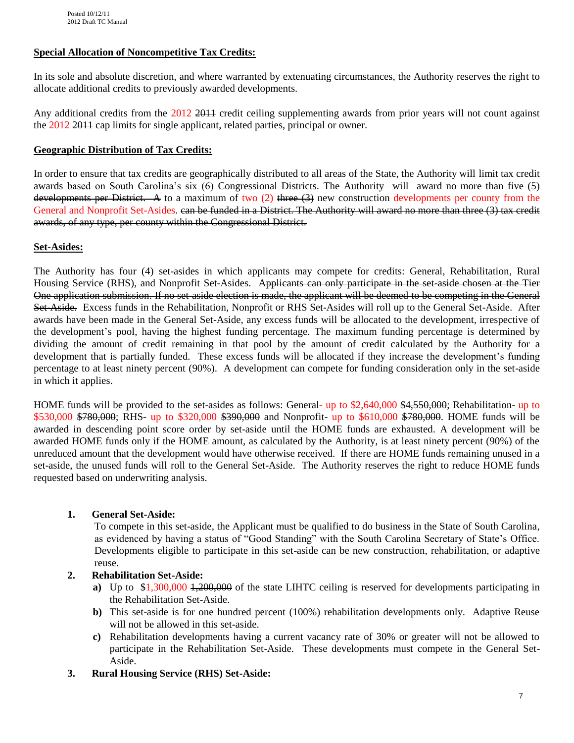### **Special Allocation of Noncompetitive Tax Credits:**

In its sole and absolute discretion, and where warranted by extenuating circumstances, the Authority reserves the right to allocate additional credits to previously awarded developments.

Any additional credits from the 2012 2011 credit ceiling supplementing awards from prior years will not count against the 2012 2011 cap limits for single applicant, related parties, principal or owner.

#### **Geographic Distribution of Tax Credits:**

In order to ensure that tax credits are geographically distributed to all areas of the State, the Authority will limit tax credit awards based on South Carolina's six (6) Congressional Districts. The Authority will award no more than five (5) developments per District. A to a maximum of two (2) three (3) new construction developments per county from the General and Nonprofit Set-Asides. can be funded in a District. The Authority will award no more than three (3) tax credit awards, of any type, per county within the Congressional District.

#### **Set-Asides:**

The Authority has four (4) set-asides in which applicants may compete for credits: General, Rehabilitation, Rural Housing Service (RHS), and Nonprofit Set-Asides. Applicants can only participate in the set-aside chosen at the Tier One application submission. If no set-aside election is made, the applicant will be deemed to be competing in the General Set-Aside. Excess funds in the Rehabilitation, Nonprofit or RHS Set-Asides will roll up to the General Set-Aside. After awards have been made in the General Set-Aside, any excess funds will be allocated to the development, irrespective of the development's pool, having the highest funding percentage. The maximum funding percentage is determined by dividing the amount of credit remaining in that pool by the amount of credit calculated by the Authority for a development that is partially funded. These excess funds will be allocated if they increase the development's funding percentage to at least ninety percent (90%). A development can compete for funding consideration only in the set-aside in which it applies.

HOME funds will be provided to the set-asides as follows: General- up to \$2,640,000 \$4,550,000; Rehabilitation- up to \$530,000 \$780,000; RHS- up to \$320,000 \$390,000 and Nonprofit- up to \$610,000 \$780,000. HOME funds will be awarded in descending point score order by set-aside until the HOME funds are exhausted. A development will be awarded HOME funds only if the HOME amount, as calculated by the Authority, is at least ninety percent (90%) of the unreduced amount that the development would have otherwise received. If there are HOME funds remaining unused in a set-aside, the unused funds will roll to the General Set-Aside. The Authority reserves the right to reduce HOME funds requested based on underwriting analysis.

#### **1. General Set-Aside:**

To compete in this set-aside, the Applicant must be qualified to do business in the State of South Carolina, as evidenced by having a status of "Good Standing" with the South Carolina Secretary of State's Office. Developments eligible to participate in this set-aside can be new construction, rehabilitation, or adaptive reuse.

### **2. Rehabilitation Set-Aside:**

- **a)** Up to \$1,300,000 1,200,000 of the state LIHTC ceiling is reserved for developments participating in the Rehabilitation Set-Aside.
- **b)** This set-aside is for one hundred percent (100%) rehabilitation developments only. Adaptive Reuse will not be allowed in this set-aside.
- **c)** Rehabilitation developments having a current vacancy rate of 30% or greater will not be allowed to participate in the Rehabilitation Set-Aside. These developments must compete in the General Set-Aside.
- **3. Rural Housing Service (RHS) Set-Aside:**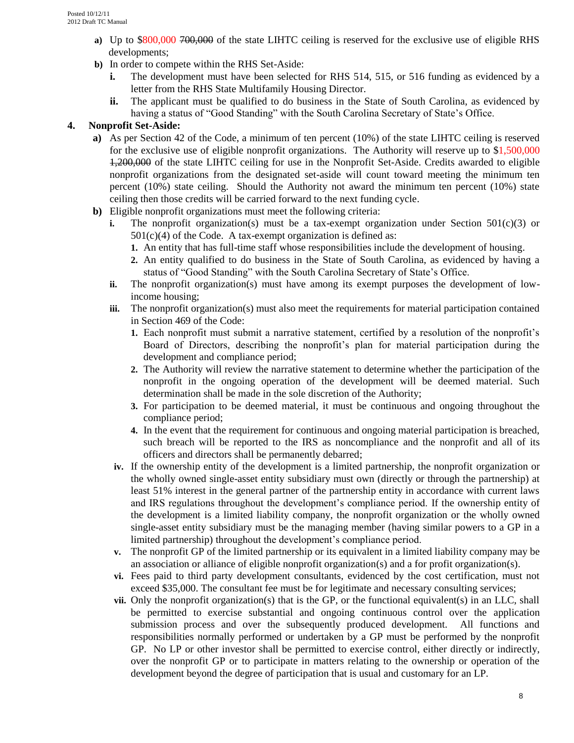- **a**) Up to \$800,000 700,000 of the state LIHTC ceiling is reserved for the exclusive use of eligible RHS developments;
- **b)** In order to compete within the RHS Set-Aside:
	- **i.** The development must have been selected for RHS 514, 515, or 516 funding as evidenced by a letter from the RHS State Multifamily Housing Director.
	- **ii.** The applicant must be qualified to do business in the State of South Carolina, as evidenced by having a status of "Good Standing" with the South Carolina Secretary of State's Office.

### **4. Nonprofit Set-Aside:**

- **a)** As per Section 42 of the Code, a minimum of ten percent (10%) of the state LIHTC ceiling is reserved for the exclusive use of eligible nonprofit organizations. The Authority will reserve up to \$1,500,000 1,200,000 of the state LIHTC ceiling for use in the Nonprofit Set-Aside. Credits awarded to eligible nonprofit organizations from the designated set-aside will count toward meeting the minimum ten percent (10%) state ceiling. Should the Authority not award the minimum ten percent (10%) state ceiling then those credits will be carried forward to the next funding cycle.
- **b)** Eligible nonprofit organizations must meet the following criteria:
	- **i.** The nonprofit organization(s) must be a tax-exempt organization under Section  $501(c)(3)$  or  $501(c)(4)$  of the Code. A tax-exempt organization is defined as:
		- **1.** An entity that has full-time staff whose responsibilities include the development of housing.
		- **2.** An entity qualified to do business in the State of South Carolina, as evidenced by having a status of "Good Standing" with the South Carolina Secretary of State's Office.
	- **ii.** The nonprofit organization(s) must have among its exempt purposes the development of lowincome housing;
	- **iii.** The nonprofit organization(s) must also meet the requirements for material participation contained in Section 469 of the Code:
		- **1.** Each nonprofit must submit a narrative statement, certified by a resolution of the nonprofit's Board of Directors, describing the nonprofit's plan for material participation during the development and compliance period;
		- **2.** The Authority will review the narrative statement to determine whether the participation of the nonprofit in the ongoing operation of the development will be deemed material. Such determination shall be made in the sole discretion of the Authority;
		- **3.** For participation to be deemed material, it must be continuous and ongoing throughout the compliance period;
		- **4.** In the event that the requirement for continuous and ongoing material participation is breached, such breach will be reported to the IRS as noncompliance and the nonprofit and all of its officers and directors shall be permanently debarred;
	- **iv.** If the ownership entity of the development is a limited partnership, the nonprofit organization or the wholly owned single-asset entity subsidiary must own (directly or through the partnership) at least 51% interest in the general partner of the partnership entity in accordance with current laws and IRS regulations throughout the development's compliance period. If the ownership entity of the development is a limited liability company, the nonprofit organization or the wholly owned single-asset entity subsidiary must be the managing member (having similar powers to a GP in a limited partnership) throughout the development's compliance period.
	- **v.** The nonprofit GP of the limited partnership or its equivalent in a limited liability company may be an association or alliance of eligible nonprofit organization(s) and a for profit organization(s).
	- **vi.** Fees paid to third party development consultants, evidenced by the cost certification, must not exceed \$35,000. The consultant fee must be for legitimate and necessary consulting services;
	- **vii.** Only the nonprofit organization(s) that is the GP, or the functional equivalent(s) in an LLC, shall be permitted to exercise substantial and ongoing continuous control over the application submission process and over the subsequently produced development. All functions and responsibilities normally performed or undertaken by a GP must be performed by the nonprofit GP. No LP or other investor shall be permitted to exercise control, either directly or indirectly, over the nonprofit GP or to participate in matters relating to the ownership or operation of the development beyond the degree of participation that is usual and customary for an LP.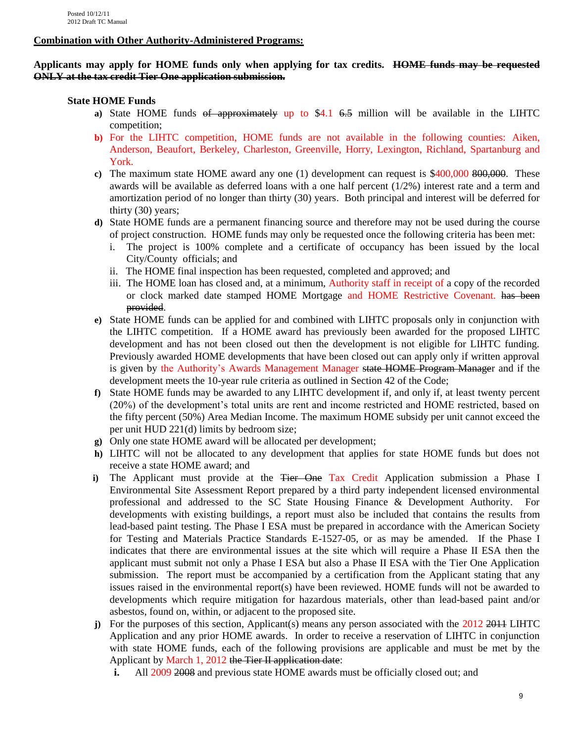#### **Combination with Other Authority-Administered Programs:**

#### **Applicants may apply for HOME funds only when applying for tax credits. HOME funds may be requested ONLY at the tax credit Tier One application submission.**

### **State HOME Funds**

- **a)** State HOME funds of approximately up to \$4.1 6.5 million will be available in the LIHTC competition;
- **b)** For the LIHTC competition, HOME funds are not available in the following counties: Aiken, Anderson, Beaufort, Berkeley, Charleston, Greenville, Horry, Lexington, Richland, Spartanburg and York.
- **c**) The maximum state HOME award any one (1) development can request is \$400,000 800,000. These awards will be available as deferred loans with a one half percent (1/2%) interest rate and a term and amortization period of no longer than thirty (30) years. Both principal and interest will be deferred for thirty (30) years;
- **d)** State HOME funds are a permanent financing source and therefore may not be used during the course of project construction. HOME funds may only be requested once the following criteria has been met:
	- i. The project is 100% complete and a certificate of occupancy has been issued by the local City/County officials; and
	- ii. The HOME final inspection has been requested, completed and approved; and
	- iii. The HOME loan has closed and, at a minimum, Authority staff in receipt of a copy of the recorded or clock marked date stamped HOME Mortgage and HOME Restrictive Covenant. has been provided.
- **e)** State HOME funds can be applied for and combined with LIHTC proposals only in conjunction with the LIHTC competition. If a HOME award has previously been awarded for the proposed LIHTC development and has not been closed out then the development is not eligible for LIHTC funding. Previously awarded HOME developments that have been closed out can apply only if written approval is given by the Authority's Awards Management Manager state HOME Program Manager and if the development meets the 10-year rule criteria as outlined in Section 42 of the Code;
- **f)** State HOME funds may be awarded to any LIHTC development if, and only if, at least twenty percent (20%) of the development's total units are rent and income restricted and HOME restricted, based on the fifty percent (50%) Area Median Income. The maximum HOME subsidy per unit cannot exceed the per unit HUD 221(d) limits by bedroom size;
- **g)** Only one state HOME award will be allocated per development;
- **h)** LIHTC will not be allocated to any development that applies for state HOME funds but does not receive a state HOME award; and
- **i**) The Applicant must provide at the <del>Tier One</del> Tax Credit Application submission a Phase I Environmental Site Assessment Report prepared by a third party independent licensed environmental professional and addressed to the SC State Housing Finance & Development Authority. For developments with existing buildings, a report must also be included that contains the results from lead-based paint testing. The Phase I ESA must be prepared in accordance with the American Society for Testing and Materials Practice Standards E-1527-05, or as may be amended. If the Phase I indicates that there are environmental issues at the site which will require a Phase II ESA then the applicant must submit not only a Phase I ESA but also a Phase II ESA with the Tier One Application submission. The report must be accompanied by a certification from the Applicant stating that any issues raised in the environmental report(s) have been reviewed. HOME funds will not be awarded to developments which require mitigation for hazardous materials, other than lead-based paint and/or asbestos, found on, within, or adjacent to the proposed site.
- **j**) For the purposes of this section, Applicant(s) means any person associated with the 2012 2014 LIHTC Application and any prior HOME awards. In order to receive a reservation of LIHTC in conjunction with state HOME funds, each of the following provisions are applicable and must be met by the Applicant by March 1, 2012 the Tier II application date:
	- **i.** All 2009 2008 and previous state HOME awards must be officially closed out; and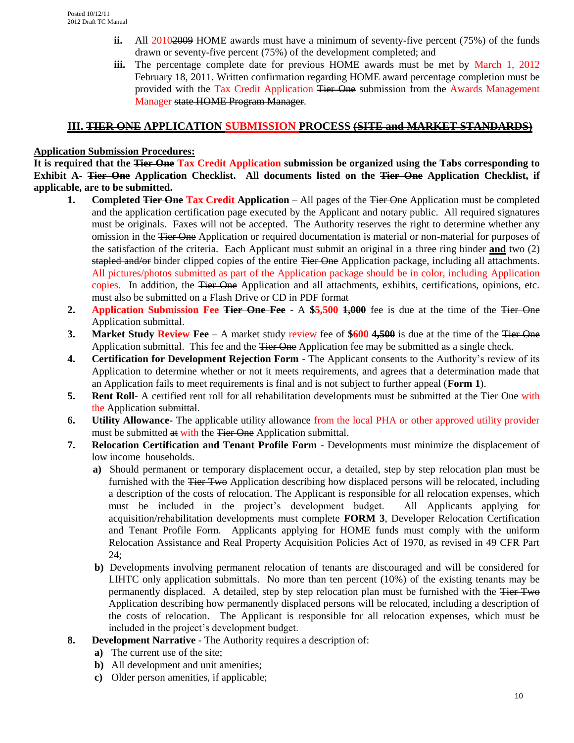- **ii.** All 20102009 HOME awards must have a minimum of seventy-five percent (75%) of the funds drawn or seventy-five percent (75%) of the development completed; and
- **iii.** The percentage complete date for previous HOME awards must be met by March 1, 2012 February 18, 2011. Written confirmation regarding HOME award percentage completion must be provided with the Tax Credit Application Tier One submission from the Awards Management Manager state HOME Program Manager.

## **III. TIER ONE APPLICATION SUBMISSION PROCESS (SITE and MARKET STANDARDS)**

## **Application Submission Procedures:**

**It is required that the Tier One Tax Credit Application submission be organized using the Tabs corresponding to Exhibit A- Tier One Application Checklist. All documents listed on the Tier One Application Checklist, if applicable, are to be submitted.** 

- **1. Completed Tier One Tax Credit Application** All pages of the Tier One Application must be completed and the application certification page executed by the Applicant and notary public. All required signatures must be originals. Faxes will not be accepted. The Authority reserves the right to determine whether any omission in the <del>Tier One</del> Application or required documentation is material or non-material for purposes of the satisfaction of the criteria. Each Applicant must submit an original in a three ring binder **and** two (2) stapled and/or binder clipped copies of the entire Tier One Application package, including all attachments. All pictures/photos submitted as part of the Application package should be in color, including Application copies. In addition, the Tier One Application and all attachments, exhibits, certifications, opinions, etc. must also be submitted on a Flash Drive or CD in PDF format
- **2. Application Submission Fee Tier One Fee** A **\$5,500 1,000** fee is due at the time of the Tier One Application submittal.
- **3. Market Study Review Fee** A market study review fee of **\$600 4,500** is due at the time of the Tier One Application submittal. This fee and the <del>Tier One</del> Application fee may be submitted as a single check.
- **4. Certification for Development Rejection Form** The Applicant consents to the Authority's review of its Application to determine whether or not it meets requirements, and agrees that a determination made that an Application fails to meet requirements is final and is not subject to further appeal (**Form 1**).
- **5. Rent Roll-** A certified rent roll for all rehabilitation developments must be submitted at the Tier One with the Application submittal.
- **6. Utility Allowance-** The applicable utility allowance from the local PHA or other approved utility provider must be submitted at with the Tier One Application submittal.
- **7. Relocation Certification and Tenant Profile Form** Developments must minimize the displacement of low income households.
	- **a)** Should permanent or temporary displacement occur, a detailed, step by step relocation plan must be furnished with the <del>Tier Two</del> Application describing how displaced persons will be relocated, including a description of the costs of relocation. The Applicant is responsible for all relocation expenses, which must be included in the project's development budget. All Applicants applying for acquisition/rehabilitation developments must complete **FORM 3**, Developer Relocation Certification and Tenant Profile Form. Applicants applying for HOME funds must comply with the uniform Relocation Assistance and Real Property Acquisition Policies Act of 1970, as revised in 49 CFR Part 24;
	- **b)** Developments involving permanent relocation of tenants are discouraged and will be considered for LIHTC only application submittals. No more than ten percent (10%) of the existing tenants may be permanently displaced. A detailed, step by step relocation plan must be furnished with the Tier Two Application describing how permanently displaced persons will be relocated, including a description of the costs of relocation. The Applicant is responsible for all relocation expenses, which must be included in the project's development budget.
- **8. Development Narrative** The Authority requires a description of:
	- **a)** The current use of the site;
	- **b)** All development and unit amenities;
	- **c)** Older person amenities, if applicable;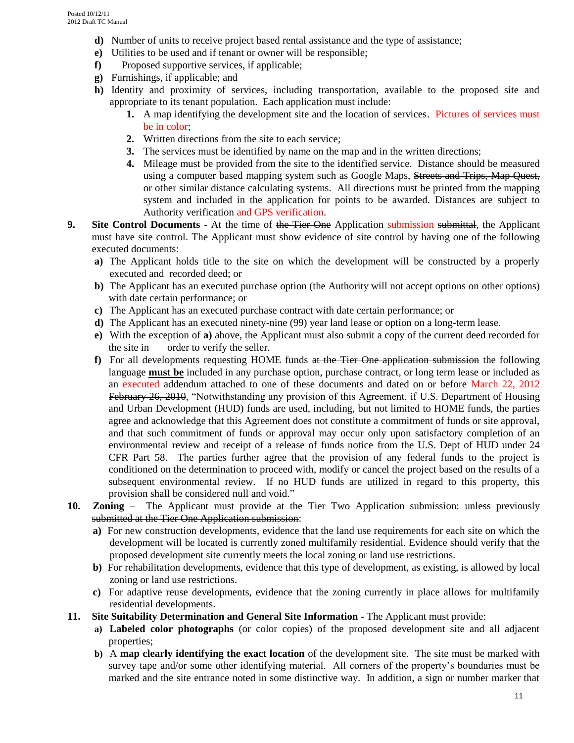- **d)** Number of units to receive project based rental assistance and the type of assistance;
- **e)** Utilities to be used and if tenant or owner will be responsible;
- **f)** Proposed supportive services, if applicable;
- **g)** Furnishings, if applicable; and
- **h)** Identity and proximity of services, including transportation, available to the proposed site and appropriate to its tenant population. Each application must include:
	- **1.** A map identifying the development site and the location of services. Pictures of services must be in color;
	- **2.** Written directions from the site to each service;
	- **3.** The services must be identified by name on the map and in the written directions;
	- **4.** Mileage must be provided from the site to the identified service. Distance should be measured using a computer based mapping system such as Google Maps, Streets and Trips, Map Quest, or other similar distance calculating systems. All directions must be printed from the mapping system and included in the application for points to be awarded. Distances are subject to Authority verification and GPS verification.
- **9. Site Control Documents** At the time of the Tier One Application submission submittal, the Applicant must have site control. The Applicant must show evidence of site control by having one of the following executed documents:
	- **a)** The Applicant holds title to the site on which the development will be constructed by a properly executed and recorded deed; or
	- **b**) The Applicant has an executed purchase option (the Authority will not accept options on other options) with date certain performance; or
	- **c)** The Applicant has an executed purchase contract with date certain performance; or
	- **d**) The Applicant has an executed ninety-nine (99) year land lease or option on a long-term lease.
	- **e)** With the exception of **a)** above, the Applicant must also submit a copy of the current deed recorded for the site in order to verify the seller.
	- **f)** For all developments requesting HOME funds at the Tier One application submission the following language **must be** included in any purchase option, purchase contract, or long term lease or included as an executed addendum attached to one of these documents and dated on or before March 22, 2012 February 26, 2010, "Notwithstanding any provision of this Agreement, if U.S. Department of Housing and Urban Development (HUD) funds are used, including, but not limited to HOME funds, the parties agree and acknowledge that this Agreement does not constitute a commitment of funds or site approval, and that such commitment of funds or approval may occur only upon satisfactory completion of an environmental review and receipt of a release of funds notice from the U.S. Dept of HUD under 24 CFR Part 58. The parties further agree that the provision of any federal funds to the project is conditioned on the determination to proceed with, modify or cancel the project based on the results of a subsequent environmental review. If no HUD funds are utilized in regard to this property, this provision shall be considered null and void."
- 10. **Zoning** The Applicant must provide at the Tier Two Application submission: unless previously submitted at the Tier One Application submission:
	- **a)** For new construction developments, evidence that the land use requirements for each site on which the development will be located is currently zoned multifamily residential. Evidence should verify that the proposed development site currently meets the local zoning or land use restrictions.
	- **b)** For rehabilitation developments, evidence that this type of development, as existing, is allowed by local zoning or land use restrictions.
	- **c)** For adaptive reuse developments, evidence that the zoning currently in place allows for multifamily residential developments.
- **11. Site Suitability Determination and General Site Information** The Applicant must provide:
	- **a) Labeled color photographs** (or color copies) of the proposed development site and all adjacent properties;
	- **b)** A **map clearly identifying the exact location** of the development site. The site must be marked with survey tape and/or some other identifying material. All corners of the property's boundaries must be marked and the site entrance noted in some distinctive way. In addition, a sign or number marker that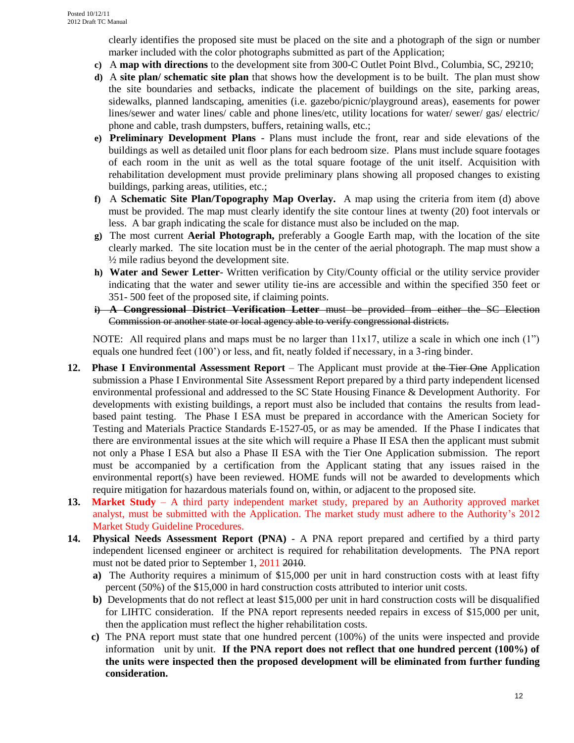clearly identifies the proposed site must be placed on the site and a photograph of the sign or number marker included with the color photographs submitted as part of the Application;

- **c)** A **map with directions** to the development site from 300-C Outlet Point Blvd., Columbia, SC, 29210;
- **d)** A **site plan/ schematic site plan** that shows how the development is to be built. The plan must show the site boundaries and setbacks, indicate the placement of buildings on the site, parking areas, sidewalks, planned landscaping, amenities (i.e. gazebo/picnic/playground areas), easements for power lines/sewer and water lines/ cable and phone lines/etc, utility locations for water/ sewer/ gas/ electric/ phone and cable, trash dumpsters, buffers, retaining walls, etc.;
- **e) Preliminary Development Plans** Plans must include the front, rear and side elevations of the buildings as well as detailed unit floor plans for each bedroom size. Plans must include square footages of each room in the unit as well as the total square footage of the unit itself. Acquisition with rehabilitation development must provide preliminary plans showing all proposed changes to existing buildings, parking areas, utilities, etc.;
- **f)** A **Schematic Site Plan/Topography Map Overlay.** A map using the criteria from item (d) above must be provided. The map must clearly identify the site contour lines at twenty (20) foot intervals or less. A bar graph indicating the scale for distance must also be included on the map.
- **g)** The most current **Aerial Photograph,** preferably a Google Earth map, with the location of the site clearly marked. The site location must be in the center of the aerial photograph. The map must show a  $\frac{1}{2}$  mile radius beyond the development site.
- **h) Water and Sewer Letter** Written verification by City/County official or the utility service provider indicating that the water and sewer utility tie-ins are accessible and within the specified 350 feet or 351- 500 feet of the proposed site, if claiming points.
- **i) A Congressional District Verification Letter** must be provided from either the SC Election Commission or another state or local agency able to verify congressional districts.

NOTE: All required plans and maps must be no larger than  $11x17$ , utilize a scale in which one inch  $(1")$ equals one hundred feet (100') or less, and fit, neatly folded if necessary, in a 3-ring binder.

- **12. Phase I Environmental Assessment Report**  The Applicant must provide at the Tier One Application submission a Phase I Environmental Site Assessment Report prepared by a third party independent licensed environmental professional and addressed to the SC State Housing Finance & Development Authority. For developments with existing buildings, a report must also be included that contains the results from leadbased paint testing. The Phase I ESA must be prepared in accordance with the American Society for Testing and Materials Practice Standards E-1527-05, or as may be amended. If the Phase I indicates that there are environmental issues at the site which will require a Phase II ESA then the applicant must submit not only a Phase I ESA but also a Phase II ESA with the Tier One Application submission. The report must be accompanied by a certification from the Applicant stating that any issues raised in the environmental report(s) have been reviewed. HOME funds will not be awarded to developments which require mitigation for hazardous materials found on, within, or adjacent to the proposed site.
- **13. Market Study**  A third party independent market study, prepared by an Authority approved market analyst, must be submitted with the Application. The market study must adhere to the Authority's 2012 Market Study Guideline Procedures.
- **14. Physical Needs Assessment Report (PNA)** A PNA report prepared and certified by a third party independent licensed engineer or architect is required for rehabilitation developments. The PNA report must not be dated prior to September 1, 2011 2010.
	- **a)** The Authority requires a minimum of \$15,000 per unit in hard construction costs with at least fifty percent (50%) of the \$15,000 in hard construction costs attributed to interior unit costs.
	- **b**) Developments that do not reflect at least \$15,000 per unit in hard construction costs will be disqualified for LIHTC consideration. If the PNA report represents needed repairs in excess of \$15,000 per unit, then the application must reflect the higher rehabilitation costs.
	- **c)** The PNA report must state that one hundred percent (100%) of the units were inspected and provide information unit by unit. **If the PNA report does not reflect that one hundred percent (100%) of the units were inspected then the proposed development will be eliminated from further funding consideration.**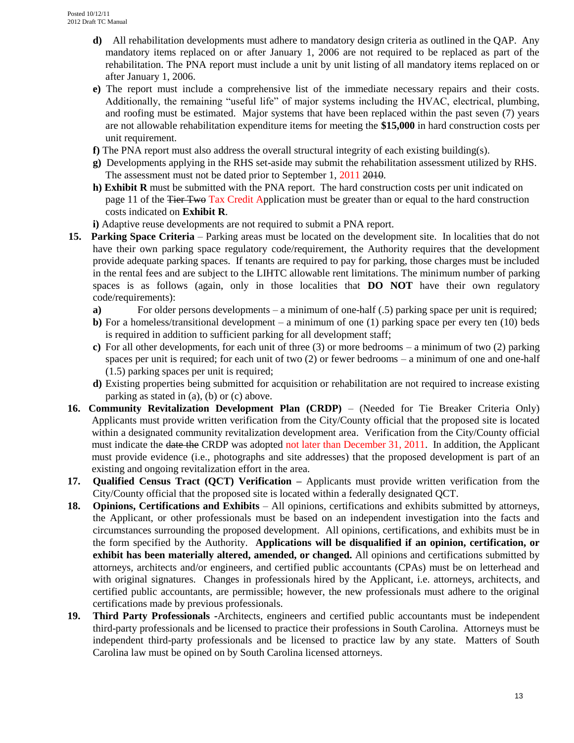- **d)** All rehabilitation developments must adhere to mandatory design criteria as outlined in the QAP. Any mandatory items replaced on or after January 1, 2006 are not required to be replaced as part of the rehabilitation. The PNA report must include a unit by unit listing of all mandatory items replaced on or after January 1, 2006.
- **e)** The report must include a comprehensive list of the immediate necessary repairs and their costs. Additionally, the remaining "useful life" of major systems including the HVAC, electrical, plumbing, and roofing must be estimated. Major systems that have been replaced within the past seven (7) years are not allowable rehabilitation expenditure items for meeting the **\$15,000** in hard construction costs per unit requirement.
- **f)** The PNA report must also address the overall structural integrity of each existing building(s).
- **g)** Developments applying in the RHS set-aside may submit the rehabilitation assessment utilized by RHS. The assessment must not be dated prior to September 1, 2011 2010.
- **h) Exhibit R** must be submitted with the PNA report. The hard construction costs per unit indicated on page 11 of the Tier Two Tax Credit Application must be greater than or equal to the hard construction costs indicated on **Exhibit R**.
- **i)** Adaptive reuse developments are not required to submit a PNA report.
- **15. Parking Space Criteria**  Parking areas must be located on the development site. In localities that do not have their own parking space regulatory code/requirement, the Authority requires that the development provide adequate parking spaces. If tenants are required to pay for parking, those charges must be included in the rental fees and are subject to the LIHTC allowable rent limitations. The minimum number of parking spaces is as follows (again, only in those localities that **DO NOT** have their own regulatory code/requirements):
	- **a**) For older persons developments a minimum of one-half (.5) parking space per unit is required;
	- **b**) For a homeless/transitional development a minimum of one (1) parking space per every ten (10) beds is required in addition to sufficient parking for all development staff;
	- **c)** For all other developments, for each unit of three (3) or more bedrooms a minimum of two (2) parking spaces per unit is required; for each unit of two (2) or fewer bedrooms – a minimum of one and one-half (1.5) parking spaces per unit is required;
	- **d)** Existing properties being submitted for acquisition or rehabilitation are not required to increase existing parking as stated in (a), (b) or (c) above.
- **16. Community Revitalization Development Plan (CRDP)** (Needed for Tie Breaker Criteria Only) Applicants must provide written verification from the City/County official that the proposed site is located within a designated community revitalization development area. Verification from the City/County official must indicate the <del>date the</del> CRDP was adopted not later than December 31, 2011. In addition, the Applicant must provide evidence (i.e., photographs and site addresses) that the proposed development is part of an existing and ongoing revitalization effort in the area.
- **17. Qualified Census Tract (QCT) Verification –** Applicants must provide written verification from the City/County official that the proposed site is located within a federally designated QCT.
- **18. Opinions, Certifications and Exhibits** All opinions, certifications and exhibits submitted by attorneys, the Applicant, or other professionals must be based on an independent investigation into the facts and circumstances surrounding the proposed development. All opinions, certifications, and exhibits must be in the form specified by the Authority. **Applications will be disqualified if an opinion, certification, or exhibit has been materially altered, amended, or changed.** All opinions and certifications submitted by attorneys, architects and/or engineers, and certified public accountants (CPAs) must be on letterhead and with original signatures. Changes in professionals hired by the Applicant, i.e. attorneys, architects, and certified public accountants, are permissible; however, the new professionals must adhere to the original certifications made by previous professionals.
- **19. Third Party Professionals -**Architects, engineers and certified public accountants must be independent third-party professionals and be licensed to practice their professions in South Carolina. Attorneys must be independent third-party professionals and be licensed to practice law by any state. Matters of South Carolina law must be opined on by South Carolina licensed attorneys.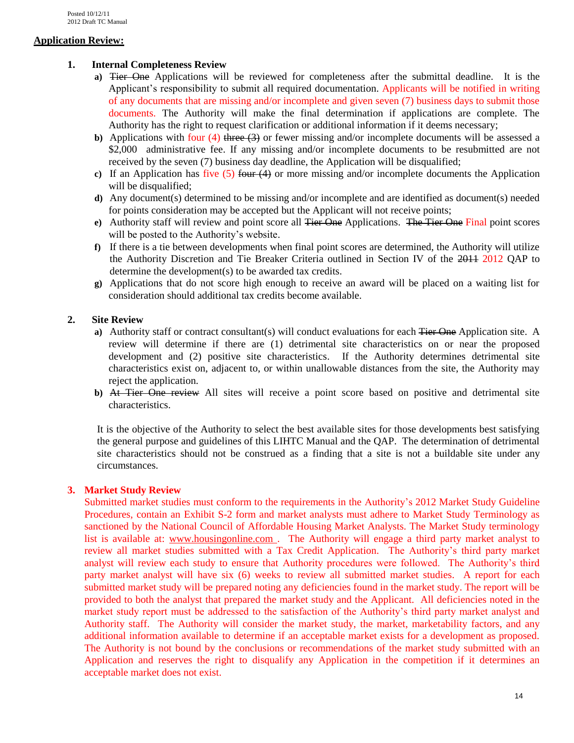## **Application Review:**

## **1. Internal Completeness Review**

- **a)** Tier One Applications will be reviewed for completeness after the submittal deadline. It is the Applicant's responsibility to submit all required documentation. Applicants will be notified in writing of any documents that are missing and/or incomplete and given seven (7) business days to submit those documents. The Authority will make the final determination if applications are complete. The Authority has the right to request clarification or additional information if it deems necessary;
- **b**) Applications with four (4) three (3) or fewer missing and/or incomplete documents will be assessed a \$2,000 administrative fee. If any missing and/or incomplete documents to be resubmitted are not received by the seven (7) business day deadline, the Application will be disqualified;
- **c)** If an Application has five (5) four (4) or more missing and/or incomplete documents the Application will be disqualified;
- **d)** Any document(s) determined to be missing and/or incomplete and are identified as document(s) needed for points consideration may be accepted but the Applicant will not receive points;
- **e**) Authority staff will review and point score all Tier One Applications. The Tier One Final point scores will be posted to the Authority's website.
- **f)** If there is a tie between developments when final point scores are determined, the Authority will utilize the Authority Discretion and Tie Breaker Criteria outlined in Section IV of the 2011 2012 QAP to determine the development(s) to be awarded tax credits.
- **g)** Applications that do not score high enough to receive an award will be placed on a waiting list for consideration should additional tax credits become available.

## **2. Site Review**

- **a)** Authority staff or contract consultant(s) will conduct evaluations for each Tier One Application site. A review will determine if there are (1) detrimental site characteristics on or near the proposed development and (2) positive site characteristics. If the Authority determines detrimental site characteristics exist on, adjacent to, or within unallowable distances from the site, the Authority may reject the application.
- **b)** At Tier One review All sites will receive a point score based on positive and detrimental site characteristics.

It is the objective of the Authority to select the best available sites for those developments best satisfying the general purpose and guidelines of this LIHTC Manual and the QAP. The determination of detrimental site characteristics should not be construed as a finding that a site is not a buildable site under any circumstances.

### **3. Market Study Review**

Submitted market studies must conform to the requirements in the Authority's 2012 Market Study Guideline Procedures, contain an Exhibit S-2 form and market analysts must adhere to Market Study Terminology as sanctioned by the National Council of Affordable Housing Market Analysts. The Market Study terminology list is available at: [www.housingonline.com .](http://www.housingonline.com/) The Authority will engage a third party market analyst to review all market studies submitted with a Tax Credit Application. The Authority's third party market analyst will review each study to ensure that Authority procedures were followed. The Authority's third party market analyst will have six (6) weeks to review all submitted market studies. A report for each submitted market study will be prepared noting any deficiencies found in the market study. The report will be provided to both the analyst that prepared the market study and the Applicant. All deficiencies noted in the market study report must be addressed to the satisfaction of the Authority's third party market analyst and Authority staff. The Authority will consider the market study, the market, marketability factors, and any additional information available to determine if an acceptable market exists for a development as proposed. The Authority is not bound by the conclusions or recommendations of the market study submitted with an Application and reserves the right to disqualify any Application in the competition if it determines an acceptable market does not exist.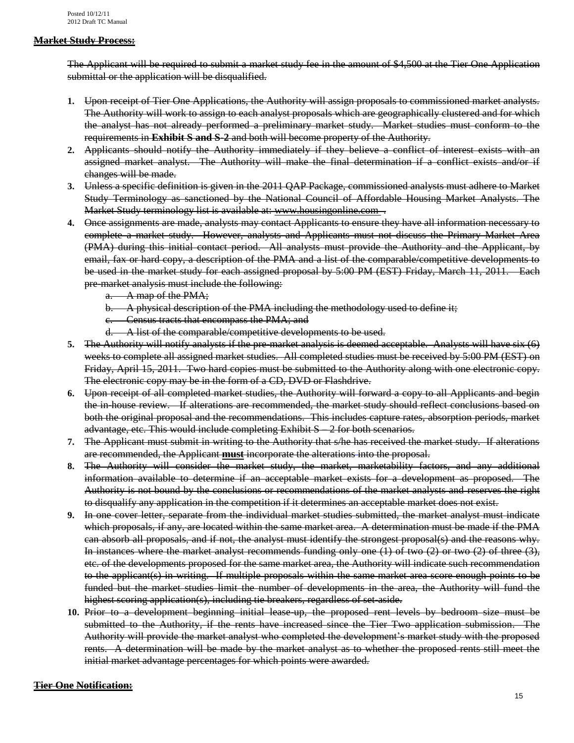#### **Market Study Process:**

The Applicant will be required to submit a market study fee in the amount of \$4,500 at the Tier One Application submittal or the application will be disqualified.

- **1.** Upon receipt of Tier One Applications, the Authority will assign proposals to commissioned market analysts. The Authority will work to assign to each analyst proposals which are geographically clustered and for which the analyst has not already performed a preliminary market study. Market studies must conform to the requirements in **Exhibit S and S-2** and both will become property of the Authority.
- **2.** Applicants should notify the Authority immediately if they believe a conflict of interest exists with an assigned market analyst. The Authority will make the final determination if a conflict exists and/or if changes will be made.
- **3.** Unless a specific definition is given in the 2011 QAP Package, commissioned analysts must adhere to Market Study Terminology as sanctioned by the National Council of Affordable Housing Market Analysts. The Market Study terminology list is available at: [www.housingonline.com](http://www.housingonline.com/) .
- **4.** Once assignments are made, analysts may contact Applicants to ensure they have all information necessary to complete a market study. However, analysts and Applicants must not discuss the Primary Market Area (PMA) during this initial contact period. All analysts must provide the Authority and the Applicant, by email, fax or hard copy, a description of the PMA and a list of the comparable/competitive developments to be used in the market study for each assigned proposal by 5:00 PM (EST) Friday, March 11, 2011. Each pre-market analysis must include the following:
	- a. A map of the PMA;
	- b. A physical description of the PMA including the methodology used to define it;
	- c. Census tracts that encompass the PMA; and
	- d. A list of the comparable/competitive developments to be used.
- **5.** The Authority will notify analysts if the pre-market analysis is deemed acceptable. Analysts will have six (6) weeks to complete all assigned market studies. All completed studies must be received by 5:00 PM (EST) on Friday, April 15, 2011. Two hard copies must be submitted to the Authority along with one electronic copy. The electronic copy may be in the form of a CD, DVD or Flashdrive.
- **6.** Upon receipt of all completed market studies, the Authority will forward a copy to all Applicants and begin the in-house review. If alterations are recommended, the market study should reflect conclusions based on both the original proposal and the recommendations. This includes capture rates, absorption periods, market advantage, etc. This would include completing Exhibit S – 2 for both scenarios.
- **7.** The Applicant must submit in writing to the Authority that s/he has received the market study. If alterations are recommended, the Applicant **must** incorporate the alterations into the proposal.
- **8.** The Authority will consider the market study, the market, marketability factors, and any additional information available to determine if an acceptable market exists for a development as proposed. The Authority is not bound by the conclusions or recommendations of the market analysts and reserves the right to disqualify any application in the competition if it determines an acceptable market does not exist.
- **9.** In one cover letter, separate from the individual market studies submitted, the market analyst must indicate which proposals, if any, are located within the same market area. A determination must be made if the PMA can absorb all proposals, and if not, the analyst must identify the strongest proposal(s) and the reasons why. In instances where the market analyst recommends funding only one (1) of two (2) or two (2) of three (3), etc. of the developments proposed for the same market area, the Authority will indicate such recommendation to the applicant(s) in writing. If multiple proposals within the same market area score enough points to be funded but the market studies limit the number of developments in the area, the Authority will fund the highest scoring application(s), including tie breakers, regardless of set-aside.
- **10.** Prior to a development beginning initial lease-up, the proposed rent levels by bedroom size must be submitted to the Authority, if the rents have increased since the Tier Two application submission. The Authority will provide the market analyst who completed the development's market study with the proposed rents. A determination will be made by the market analyst as to whether the proposed rents still meet the initial market advantage percentages for which points were awarded.

#### **Tier One Notification:**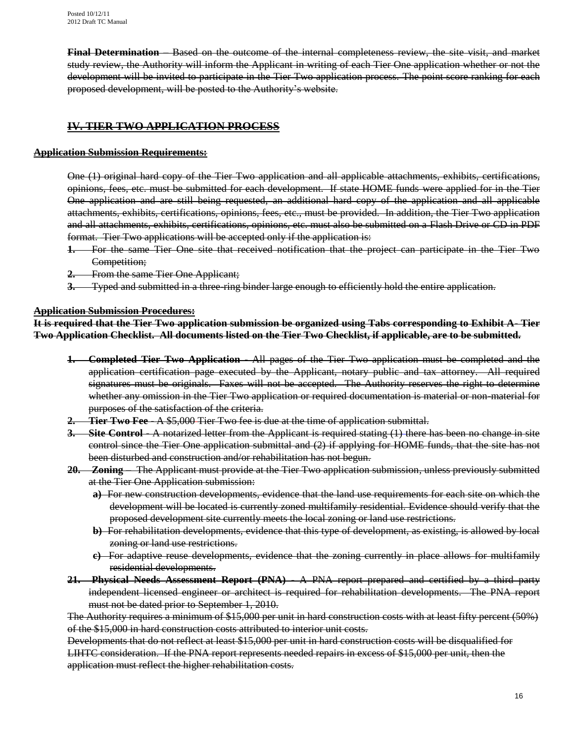**Final Determination** – Based on the outcome of the internal completeness review, the site visit, and market study review, the Authority will inform the Applicant in writing of each Tier One application whether or not the development will be invited to participate in the Tier Two application process. The point score ranking for each proposed development, will be posted to the Authority's website.

## **IV. TIER TWO APPLICATION PROCESS**

### **Application Submission Requirements:**

One (1) original hard copy of the Tier Two application and all applicable attachments, exhibits, certifications, opinions, fees, etc. must be submitted for each development. If state HOME funds were applied for in the Tier One application and are still being requested, an additional hard copy of the application and all applicable attachments, exhibits, certifications, opinions, fees, etc., must be provided. In addition, the Tier Two application and all attachments, exhibits, certifications, opinions, etc. must also be submitted on a Flash Drive or CD in PDF format. Tier Two applications will be accepted only if the application is:

- **1.** For the same Tier One site that received notification that the project can participate in the Tier Two Competition;
- **2.** From the same Tier One Applicant;
- **3.** Typed and submitted in a three-ring binder large enough to efficiently hold the entire application.

#### **Application Submission Procedures:**

**It is required that the Tier Two application submission be organized using Tabs corresponding to Exhibit A- Tier Two Application Checklist. All documents listed on the Tier Two Checklist, if applicable, are to be submitted.**

- **1. Completed Tier Two Application** All pages of the Tier Two application must be completed and the application certification page executed by the Applicant, notary public and tax attorney. All required signatures must be originals. Faxes will not be accepted. The Authority reserves the right to determine whether any omission in the Tier Two application or required documentation is material or non-material for purposes of the satisfaction of the criteria.
- **2. Tier Two Fee** A \$5,000 Tier Two fee is due at the time of application submittal.
- **3. Site Control -** A notarized letter from the Applicant is required stating (1) there has been no change in site control since the Tier One application submittal and (2) if applying for HOME funds, that the site has not been disturbed and construction and/or rehabilitation has not begun.
- **20. Zoning**  The Applicant must provide at the Tier Two application submission, unless previously submitted at the Tier One Application submission:
	- **a)** For new construction developments, evidence that the land use requirements for each site on which the development will be located is currently zoned multifamily residential. Evidence should verify that the proposed development site currently meets the local zoning or land use restrictions.
	- **b)** For rehabilitation developments, evidence that this type of development, as existing, is allowed by local zoning or land use restrictions.
	- **c)** For adaptive reuse developments, evidence that the zoning currently in place allows for multifamily residential developments.
- **21. Physical Needs Assessment Report (PNA)** A PNA report prepared and certified by a third party independent licensed engineer or architect is required for rehabilitation developments. The PNA report must not be dated prior to September 1, 2010.

The Authority requires a minimum of \$15,000 per unit in hard construction costs with at least fifty percent (50%) of the \$15,000 in hard construction costs attributed to interior unit costs.

Developments that do not reflect at least \$15,000 per unit in hard construction costs will be disqualified for LIHTC consideration. If the PNA report represents needed repairs in excess of \$15,000 per unit, then the application must reflect the higher rehabilitation costs.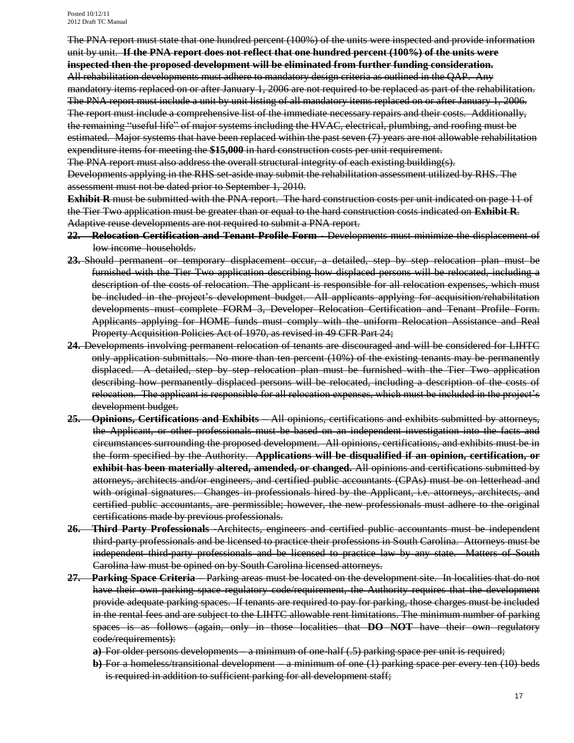Posted 10/12/11 2012 Draft TC Manual

The PNA report must state that one hundred percent (100%) of the units were inspected and provide information unit by unit. **If the PNA report does not reflect that one hundred percent (100%) of the units were inspected then the proposed development will be eliminated from further funding consideration.** All rehabilitation developments must adhere to mandatory design criteria as outlined in the QAP. Any

mandatory items replaced on or after January 1, 2006 are not required to be replaced as part of the rehabilitation. The PNA report must include a unit by unit listing of all mandatory items replaced on or after January 1, 2006. The report must include a comprehensive list of the immediate necessary repairs and their costs. Additionally, the remaining "useful life" of major systems including the HVAC, electrical, plumbing, and roofing must be estimated. Major systems that have been replaced within the past seven (7) years are not allowable rehabilitation expenditure items for meeting the **\$15,000** in hard construction costs per unit requirement.

The PNA report must also address the overall structural integrity of each existing building(s).

Developments applying in the RHS set-aside may submit the rehabilitation assessment utilized by RHS. The assessment must not be dated prior to September 1, 2010.

**Exhibit R** must be submitted with the PNA report. The hard construction costs per unit indicated on page 11 of the Tier Two application must be greater than or equal to the hard construction costs indicated on **Exhibit R**. Adaptive reuse developments are not required to submit a PNA report.

- **22. Relocation Certification and Tenant Profile Form** Developments must minimize the displacement of low income households.
- **23.** Should permanent or temporary displacement occur, a detailed, step by step relocation plan must be furnished with the Tier Two application describing how displaced persons will be relocated, including a description of the costs of relocation. The applicant is responsible for all relocation expenses, which must be included in the project's development budget. All applicants applying for acquisition/rehabilitation developments must complete FORM 3, Developer Relocation Certification and Tenant Profile Form. Applicants applying for HOME funds must comply with the uniform Relocation Assistance and Real Property Acquisition Policies Act of 1970, as revised in 49 CFR Part 24;
- **24.** Developments involving permanent relocation of tenants are discouraged and will be considered for LIHTC only application submittals. No more than ten percent (10%) of the existing tenants may be permanently displaced. A detailed, step by step relocation plan must be furnished with the Tier Two application describing how permanently displaced persons will be relocated, including a description of the costs of relocation. The applicant is responsible for all relocation expenses, which must be included in the project's development budget.
- **25. Opinions, Certifications and Exhibits** All opinions, certifications and exhibits submitted by attorneys, the Applicant, or other professionals must be based on an independent investigation into the facts and circumstances surrounding the proposed development. All opinions, certifications, and exhibits must be in the form specified by the Authority. **Applications will be disqualified if an opinion, certification, or exhibit has been materially altered, amended, or changed.** All opinions and certifications submitted by attorneys, architects and/or engineers, and certified public accountants (CPAs) must be on letterhead and with original signatures. Changes in professionals hired by the Applicant, i.e. attorneys, architects, and certified public accountants, are permissible; however, the new professionals must adhere to the original certifications made by previous professionals.
- **26. Third Party Professionals -**Architects, engineers and certified public accountants must be independent third-party professionals and be licensed to practice their professions in South Carolina. Attorneys must be independent third-party professionals and be licensed to practice law by any state. Matters of South Carolina law must be opined on by South Carolina licensed attorneys.
- **27. Parking Space Criteria**  Parking areas must be located on the development site. In localities that do not have their own parking space regulatory code/requirement, the Authority requires that the development provide adequate parking spaces. If tenants are required to pay for parking, those charges must be included in the rental fees and are subject to the LIHTC allowable rent limitations. The minimum number of parking spaces is as follows (again, only in those localities that **DO NOT** have their own regulatory code/requirements):
	- **a)** For older persons developments a minimum of one-half (.5) parking space per unit is required;
	- **b**) For a homeless/transitional development a minimum of one (1) parking space per every ten (10) beds is required in addition to sufficient parking for all development staff;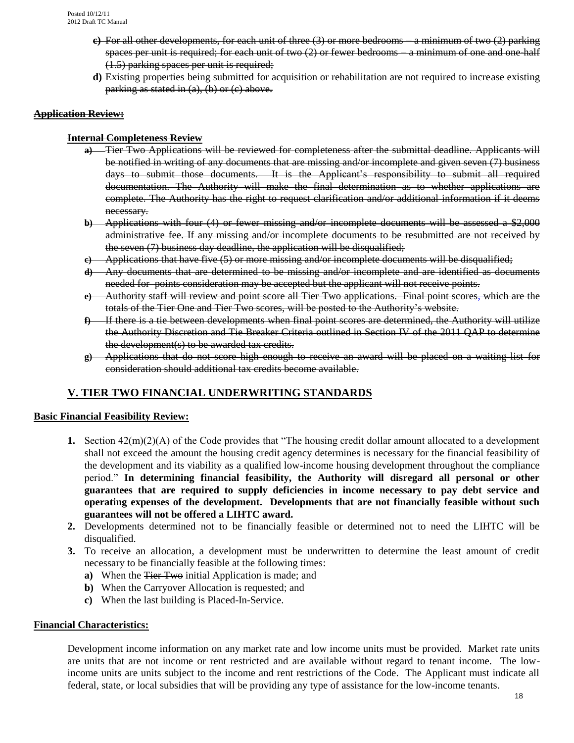- **c)** For all other developments, for each unit of three (3) or more bedrooms a minimum of two (2) parking spaces per unit is required; for each unit of two (2) or fewer bedrooms – a minimum of one and one-half (1.5) parking spaces per unit is required;
- **d)** Existing properties being submitted for acquisition or rehabilitation are not required to increase existing parking as stated in (a), (b) or (c) above.

#### **Application Review:**

#### **Internal Completeness Review**

- **a)** Tier Two Applications will be reviewed for completeness after the submittal deadline. Applicants will be notified in writing of any documents that are missing and/or incomplete and given seven (7) business days to submit those documents. It is the Applicant's responsibility to submit all required documentation. The Authority will make the final determination as to whether applications are complete. The Authority has the right to request clarification and/or additional information if it deems necessary.
- **b**) Applications with four (4) or fewer missing and/or incomplete documents will be assessed a \$2,000 administrative fee. If any missing and/or incomplete documents to be resubmitted are not received by the seven (7) business day deadline, the application will be disqualified;
- **c)** Applications that have five (5) or more missing and/or incomplete documents will be disqualified;
- **d)** Any documents that are determined to be missing and/or incomplete and are identified as documents needed for points consideration may be accepted but the applicant will not receive points.
- **e)** Authority staff will review and point score all Tier Two applications. Final point scores, which are the totals of the Tier One and Tier Two scores, will be posted to the Authority's website.
- **f)** If there is a tie between developments when final point scores are determined, the Authority will utilize the Authority Discretion and Tie Breaker Criteria outlined in Section IV of the 2011 QAP to determine the development(s) to be awarded tax credits.
- **g)** Applications that do not score high enough to receive an award will be placed on a waiting list for consideration should additional tax credits become available.

## **V. TIER TWO FINANCIAL UNDERWRITING STANDARDS**

#### **Basic Financial Feasibility Review:**

- **1.** Section 42(m)(2)(A) of the Code provides that "The housing credit dollar amount allocated to a development shall not exceed the amount the housing credit agency determines is necessary for the financial feasibility of the development and its viability as a qualified low-income housing development throughout the compliance period." **In determining financial feasibility, the Authority will disregard all personal or other guarantees that are required to supply deficiencies in income necessary to pay debt service and operating expenses of the development. Developments that are not financially feasible without such guarantees will not be offered a LIHTC award.**
- **2.** Developments determined not to be financially feasible or determined not to need the LIHTC will be disqualified.
- **3.** To receive an allocation, a development must be underwritten to determine the least amount of credit necessary to be financially feasible at the following times:
	- **a)** When the Tier Two initial Application is made; and
	- **b)** When the Carryover Allocation is requested; and
	- **c)** When the last building is Placed-In-Service.

#### **Financial Characteristics:**

Development income information on any market rate and low income units must be provided. Market rate units are units that are not income or rent restricted and are available without regard to tenant income. The lowincome units are units subject to the income and rent restrictions of the Code. The Applicant must indicate all federal, state, or local subsidies that will be providing any type of assistance for the low-income tenants.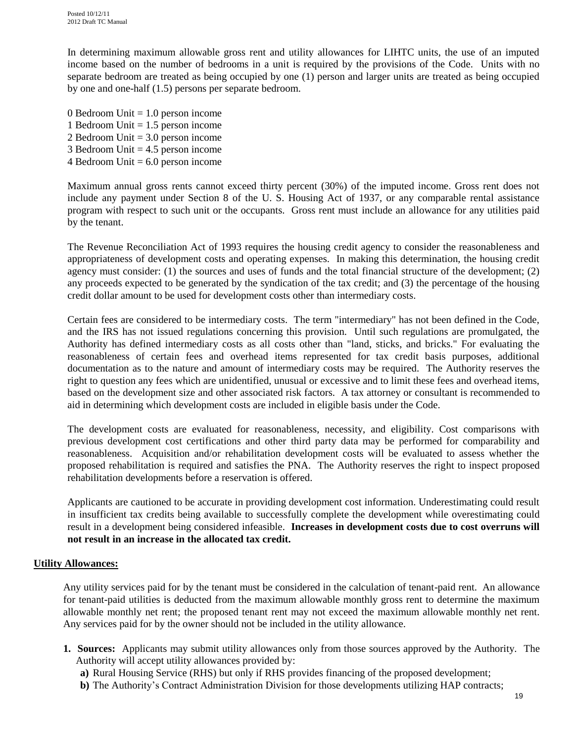In determining maximum allowable gross rent and utility allowances for LIHTC units, the use of an imputed income based on the number of bedrooms in a unit is required by the provisions of the Code. Units with no separate bedroom are treated as being occupied by one (1) person and larger units are treated as being occupied by one and one-half (1.5) persons per separate bedroom.

- 0 Bedroom Unit  $= 1.0$  person income
- 1 Bedroom Unit  $= 1.5$  person income
- 2 Bedroom Unit = 3.0 person income
- 3 Bedroom Unit  $= 4.5$  person income
- 4 Bedroom Unit  $= 6.0$  person income

Maximum annual gross rents cannot exceed thirty percent (30%) of the imputed income. Gross rent does not include any payment under Section 8 of the U. S. Housing Act of 1937, or any comparable rental assistance program with respect to such unit or the occupants. Gross rent must include an allowance for any utilities paid by the tenant.

The Revenue Reconciliation Act of 1993 requires the housing credit agency to consider the reasonableness and appropriateness of development costs and operating expenses. In making this determination, the housing credit agency must consider: (1) the sources and uses of funds and the total financial structure of the development; (2) any proceeds expected to be generated by the syndication of the tax credit; and (3) the percentage of the housing credit dollar amount to be used for development costs other than intermediary costs.

Certain fees are considered to be intermediary costs. The term "intermediary" has not been defined in the Code, and the IRS has not issued regulations concerning this provision. Until such regulations are promulgated, the Authority has defined intermediary costs as all costs other than "land, sticks, and bricks." For evaluating the reasonableness of certain fees and overhead items represented for tax credit basis purposes, additional documentation as to the nature and amount of intermediary costs may be required. The Authority reserves the right to question any fees which are unidentified, unusual or excessive and to limit these fees and overhead items, based on the development size and other associated risk factors. A tax attorney or consultant is recommended to aid in determining which development costs are included in eligible basis under the Code.

The development costs are evaluated for reasonableness, necessity, and eligibility. Cost comparisons with previous development cost certifications and other third party data may be performed for comparability and reasonableness. Acquisition and/or rehabilitation development costs will be evaluated to assess whether the proposed rehabilitation is required and satisfies the PNA. The Authority reserves the right to inspect proposed rehabilitation developments before a reservation is offered.

Applicants are cautioned to be accurate in providing development cost information. Underestimating could result in insufficient tax credits being available to successfully complete the development while overestimating could result in a development being considered infeasible. **Increases in development costs due to cost overruns will not result in an increase in the allocated tax credit.**

#### **Utility Allowances:**

Any utility services paid for by the tenant must be considered in the calculation of tenant-paid rent. An allowance for tenant-paid utilities is deducted from the maximum allowable monthly gross rent to determine the maximum allowable monthly net rent; the proposed tenant rent may not exceed the maximum allowable monthly net rent. Any services paid for by the owner should not be included in the utility allowance.

- **1. Sources:** Applicants may submit utility allowances only from those sources approved by the Authority. The Authority will accept utility allowances provided by:
	- **a)** Rural Housing Service (RHS) but only if RHS provides financing of the proposed development;
	- **b)** The Authority's Contract Administration Division for those developments utilizing HAP contracts;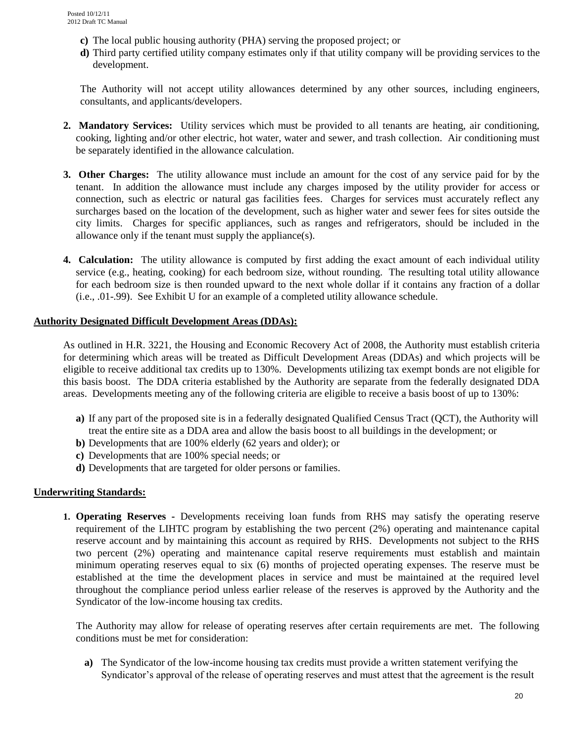- **c)** The local public housing authority (PHA) serving the proposed project; or
- **d)** Third party certified utility company estimates only if that utility company will be providing services to the development.

The Authority will not accept utility allowances determined by any other sources, including engineers, consultants, and applicants/developers.

- **2. Mandatory Services:** Utility services which must be provided to all tenants are heating, air conditioning, cooking, lighting and/or other electric, hot water, water and sewer, and trash collection. Air conditioning must be separately identified in the allowance calculation.
- **3. Other Charges:** The utility allowance must include an amount for the cost of any service paid for by the tenant. In addition the allowance must include any charges imposed by the utility provider for access or connection, such as electric or natural gas facilities fees. Charges for services must accurately reflect any surcharges based on the location of the development, such as higher water and sewer fees for sites outside the city limits. Charges for specific appliances, such as ranges and refrigerators, should be included in the allowance only if the tenant must supply the appliance(s).
- **4. Calculation:** The utility allowance is computed by first adding the exact amount of each individual utility service (e.g., heating, cooking) for each bedroom size, without rounding. The resulting total utility allowance for each bedroom size is then rounded upward to the next whole dollar if it contains any fraction of a dollar (i.e., .01-.99). See Exhibit U for an example of a completed utility allowance schedule.

#### **Authority Designated Difficult Development Areas (DDAs):**

As outlined in H.R. 3221, the Housing and Economic Recovery Act of 2008, the Authority must establish criteria for determining which areas will be treated as Difficult Development Areas (DDAs) and which projects will be eligible to receive additional tax credits up to 130%. Developments utilizing tax exempt bonds are not eligible for this basis boost. The DDA criteria established by the Authority are separate from the federally designated DDA areas. Developments meeting any of the following criteria are eligible to receive a basis boost of up to 130%:

- **a)** If any part of the proposed site is in a federally designated Qualified Census Tract (QCT), the Authority will treat the entire site as a DDA area and allow the basis boost to all buildings in the development; or
- **b)** Developments that are 100% elderly (62 years and older); or
- **c)** Developments that are 100% special needs; or
- **d)** Developments that are targeted for older persons or families.

#### **Underwriting Standards:**

**1. Operating Reserves -** Developments receiving loan funds from RHS may satisfy the operating reserve requirement of the LIHTC program by establishing the two percent (2%) operating and maintenance capital reserve account and by maintaining this account as required by RHS. Developments not subject to the RHS two percent (2%) operating and maintenance capital reserve requirements must establish and maintain minimum operating reserves equal to six (6) months of projected operating expenses. The reserve must be established at the time the development places in service and must be maintained at the required level throughout the compliance period unless earlier release of the reserves is approved by the Authority and the Syndicator of the low-income housing tax credits.

 The Authority may allow for release of operating reserves after certain requirements are met. The following conditions must be met for consideration:

**a)** The Syndicator of the low-income housing tax credits must provide a written statement verifying the Syndicator's approval of the release of operating reserves and must attest that the agreement is the result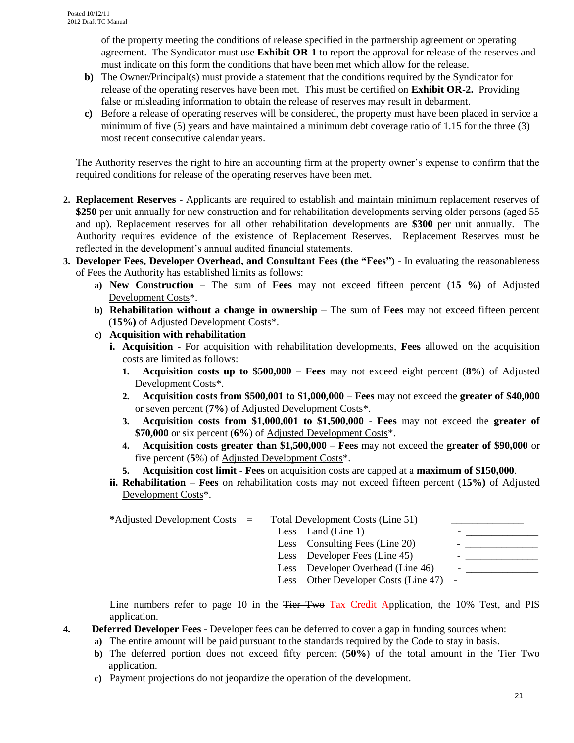of the property meeting the conditions of release specified in the partnership agreement or operating agreement. The Syndicator must use **Exhibit OR-1** to report the approval for release of the reserves and must indicate on this form the conditions that have been met which allow for the release.

- **b)** The Owner/Principal(s) must provide a statement that the conditions required by the Syndicator for release of the operating reserves have been met. This must be certified on **Exhibit OR-2.** Providing false or misleading information to obtain the release of reserves may result in debarment.
- **c)** Before a release of operating reserves will be considered, the property must have been placed in service a minimum of five (5) years and have maintained a minimum debt coverage ratio of 1.15 for the three (3) most recent consecutive calendar years.

The Authority reserves the right to hire an accounting firm at the property owner's expense to confirm that the required conditions for release of the operating reserves have been met.

- **2. Replacement Reserves** Applicants are required to establish and maintain minimum replacement reserves of **\$250** per unit annually for new construction and for rehabilitation developments serving older persons (aged 55 and up). Replacement reserves for all other rehabilitation developments are **\$300** per unit annually. The Authority requires evidence of the existence of Replacement Reserves. Replacement Reserves must be reflected in the development's annual audited financial statements.
- **3. Developer Fees, Developer Overhead, and Consultant Fees (the "Fees")**  In evaluating the reasonableness of Fees the Authority has established limits as follows:
	- **a) New Construction** The sum of **Fees** may not exceed fifteen percent (**15 %)** of Adjusted Development Costs\*.
	- **b) Rehabilitation without a change in ownership** The sum of **Fees** may not exceed fifteen percent (**15%)** of Adjusted Development Costs\*.
	- **c) Acquisition with rehabilitation**
		- **i. Acquisition** For acquisition with rehabilitation developments, **Fees** allowed on the acquisition costs are limited as follows:
			- **1. Acquisition costs up to \$500,000 Fees** may not exceed eight percent (**8%**) of Adjusted Development Costs\*.
			- **2. Acquisition costs from \$500,001 to \$1,000,000 Fees** may not exceed the **greater of \$40,000** or seven percent (**7%**) of Adjusted Development Costs\*.
			- **3. Acquisition costs from \$1,000,001 to \$1,500,000 Fees** may not exceed the **greater of \$70,000** or six percent (**6%**) of Adjusted Development Costs\*.
			- **4. Acquisition costs greater than \$1,500,000 Fees** may not exceed the **greater of \$90,000** or five percent (**5**%) of Adjusted Development Costs\*.
			- **5. Acquisition cost limit Fees** on acquisition costs are capped at a **maximum of \$150,000**.
		- **ii. Rehabilitation Fees** on rehabilitation costs may not exceed fifteen percent (**15%)** of Adjusted Development Costs\*.

| *Adjusted Development Costs = |  | Total Development Costs (Line 51)      |  |
|-------------------------------|--|----------------------------------------|--|
|                               |  | Less Land (Line 1)                     |  |
|                               |  | Less Consulting Fees (Line 20)         |  |
|                               |  | Less Developer Fees (Line 45)          |  |
|                               |  | Less Developer Overhead (Line 46)      |  |
|                               |  | Less Other Developer Costs (Line 47) - |  |

Line numbers refer to page 10 in the <del>Tier Two</del> Tax Credit Application, the 10% Test, and PIS application.

- **4. Deferred Developer Fees** Developer fees can be deferred to cover a gap in funding sources when:
	- **a)** The entire amount will be paid pursuant to the standards required by the Code to stay in basis.
		- **b)** The deferred portion does not exceed fifty percent (**50%**) of the total amount in the Tier Two application.
		- **c)** Payment projections do not jeopardize the operation of the development.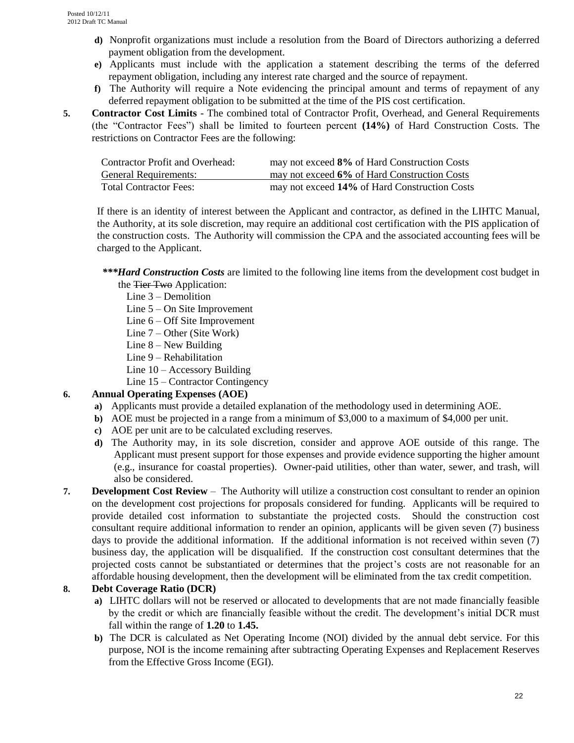- **d)** Nonprofit organizations must include a resolution from the Board of Directors authorizing a deferred payment obligation from the development.
- **e)** Applicants must include with the application a statement describing the terms of the deferred repayment obligation, including any interest rate charged and the source of repayment.
- **f)** The Authority will require a Note evidencing the principal amount and terms of repayment of any deferred repayment obligation to be submitted at the time of the PIS cost certification.
- **5. Contractor Cost Limits** The combined total of Contractor Profit, Overhead, and General Requirements (the "Contractor Fees") shall be limited to fourteen percent **(14%)** of Hard Construction Costs. The restrictions on Contractor Fees are the following:

| <b>Contractor Profit and Overhead:</b> | may not exceed 8% of Hard Construction Costs  |
|----------------------------------------|-----------------------------------------------|
| <b>General Requirements:</b>           | may not exceed 6% of Hard Construction Costs  |
| <b>Total Contractor Fees:</b>          | may not exceed 14% of Hard Construction Costs |

If there is an identity of interest between the Applicant and contractor, as defined in the LIHTC Manual, the Authority, at its sole discretion, may require an additional cost certification with the PIS application of the construction costs. The Authority will commission the CPA and the associated accounting fees will be charged to the Applicant.

- *\*\*\*Hard Construction Costs* are limited to the following line items from the development cost budget in the <del>Tier Two</del> Application:
	- Line 3 Demolition
	- Line 5 On Site Improvement
	- Line 6 Off Site Improvement
	- Line 7 Other (Site Work)
	- Line  $8 -$  New Building
	- Line 9 Rehabilitation
	- Line 10 Accessory Building
	- Line 15 Contractor Contingency

### **6. Annual Operating Expenses (AOE)**

- **a)** Applicants must provide a detailed explanation of the methodology used in determining AOE.
- **b**) AOE must be projected in a range from a minimum of \$3,000 to a maximum of \$4,000 per unit.
- **c)** AOE per unit are to be calculated excluding reserves.
- **d)** The Authority may, in its sole discretion, consider and approve AOE outside of this range. The Applicant must present support for those expenses and provide evidence supporting the higher amount (e.g., insurance for coastal properties). Owner-paid utilities, other than water, sewer, and trash, will also be considered.
- **7. Development Cost Review** The Authority will utilize a construction cost consultant to render an opinion on the development cost projections for proposals considered for funding. Applicants will be required to provide detailed cost information to substantiate the projected costs. Should the construction cost consultant require additional information to render an opinion, applicants will be given seven (7) business days to provide the additional information. If the additional information is not received within seven (7) business day, the application will be disqualified. If the construction cost consultant determines that the projected costs cannot be substantiated or determines that the project's costs are not reasonable for an affordable housing development, then the development will be eliminated from the tax credit competition.

### **8. Debt Coverage Ratio (DCR)**

- **a)** LIHTC dollars will not be reserved or allocated to developments that are not made financially feasible by the credit or which are financially feasible without the credit. The development's initial DCR must fall within the range of **1.20** to **1.45.**
- **b)** The DCR is calculated as Net Operating Income (NOI) divided by the annual debt service. For this purpose, NOI is the income remaining after subtracting Operating Expenses and Replacement Reserves from the Effective Gross Income (EGI).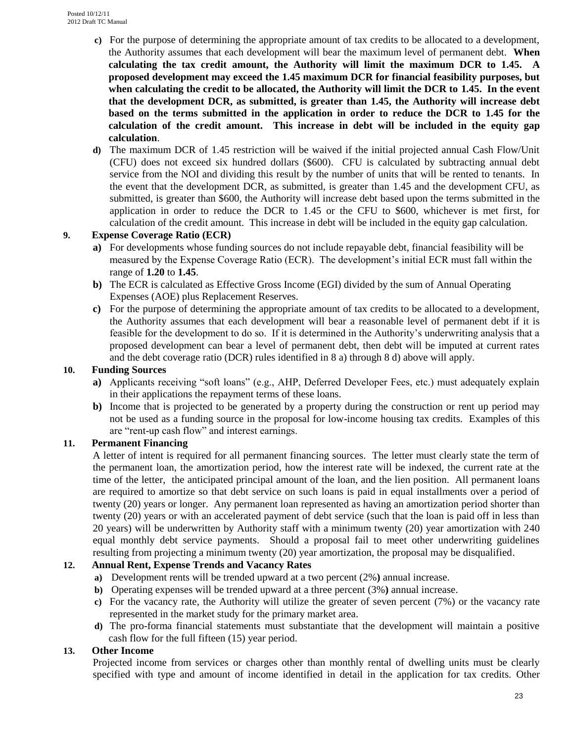- **c)** For the purpose of determining the appropriate amount of tax credits to be allocated to a development, the Authority assumes that each development will bear the maximum level of permanent debt. **When calculating the tax credit amount, the Authority will limit the maximum DCR to 1.45. A proposed development may exceed the 1.45 maximum DCR for financial feasibility purposes, but when calculating the credit to be allocated, the Authority will limit the DCR to 1.45. In the event that the development DCR, as submitted, is greater than 1.45, the Authority will increase debt based on the terms submitted in the application in order to reduce the DCR to 1.45 for the calculation of the credit amount. This increase in debt will be included in the equity gap calculation**.
- **d)** The maximum DCR of 1.45 restriction will be waived if the initial projected annual Cash Flow/Unit (CFU) does not exceed six hundred dollars (\$600). CFU is calculated by subtracting annual debt service from the NOI and dividing this result by the number of units that will be rented to tenants. In the event that the development DCR, as submitted, is greater than 1.45 and the development CFU, as submitted, is greater than \$600, the Authority will increase debt based upon the terms submitted in the application in order to reduce the DCR to 1.45 or the CFU to \$600, whichever is met first, for calculation of the credit amount. This increase in debt will be included in the equity gap calculation.

### **9. Expense Coverage Ratio (ECR)**

- **a)** For developments whose funding sources do not include repayable debt, financial feasibility will be measured by the Expense Coverage Ratio (ECR). The development's initial ECR must fall within the range of **1.20** to **1.45**.
- **b)** The ECR is calculated as Effective Gross Income (EGI) divided by the sum of Annual Operating Expenses (AOE) plus Replacement Reserves.
- **c)** For the purpose of determining the appropriate amount of tax credits to be allocated to a development, the Authority assumes that each development will bear a reasonable level of permanent debt if it is feasible for the development to do so. If it is determined in the Authority's underwriting analysis that a proposed development can bear a level of permanent debt, then debt will be imputed at current rates and the debt coverage ratio (DCR) rules identified in 8 a) through 8 d) above will apply.

#### **10. Funding Sources**

- **a)** Applicants receiving "soft loans" (e.g., AHP, Deferred Developer Fees, etc.) must adequately explain in their applications the repayment terms of these loans.
- **b**) Income that is projected to be generated by a property during the construction or rent up period may not be used as a funding source in the proposal for low-income housing tax credits. Examples of this are "rent-up cash flow" and interest earnings.

### **11. Permanent Financing**

A letter of intent is required for all permanent financing sources. The letter must clearly state the term of the permanent loan, the amortization period, how the interest rate will be indexed, the current rate at the time of the letter, the anticipated principal amount of the loan, and the lien position. All permanent loans are required to amortize so that debt service on such loans is paid in equal installments over a period of twenty (20) years or longer. Any permanent loan represented as having an amortization period shorter than twenty (20) years or with an accelerated payment of debt service (such that the loan is paid off in less than 20 years) will be underwritten by Authority staff with a minimum twenty (20) year amortization with 240 equal monthly debt service payments. Should a proposal fail to meet other underwriting guidelines resulting from projecting a minimum twenty (20) year amortization, the proposal may be disqualified.

### **12. Annual Rent, Expense Trends and Vacancy Rates**

- **a)** Development rents will be trended upward at a two percent (2%**)** annual increase.
- **b)** Operating expenses will be trended upward at a three percent (3%**)** annual increase.
- **c)** For the vacancy rate, the Authority will utilize the greater of seven percent (7%) or the vacancy rate represented in the market study for the primary market area.
- **d)** The pro-forma financial statements must substantiate that the development will maintain a positive cash flow for the full fifteen (15) year period.

#### **13. Other Income**

Projected income from services or charges other than monthly rental of dwelling units must be clearly specified with type and amount of income identified in detail in the application for tax credits. Other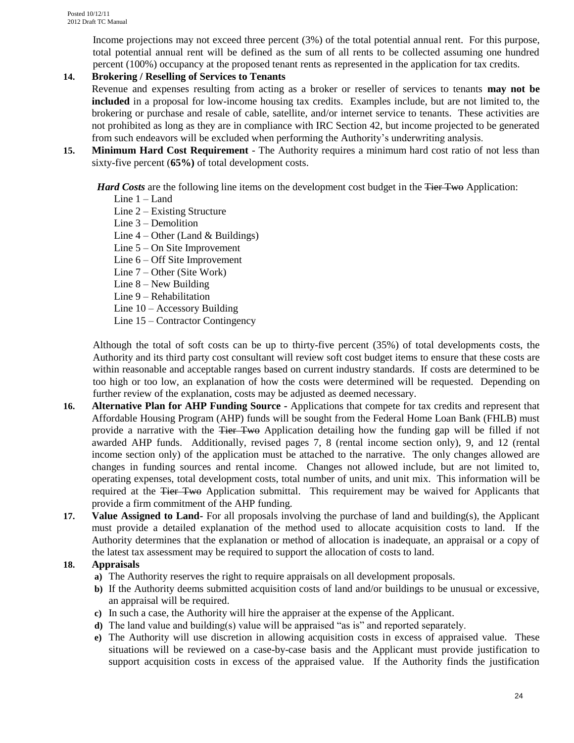Income projections may not exceed three percent (3%) of the total potential annual rent. For this purpose, total potential annual rent will be defined as the sum of all rents to be collected assuming one hundred percent (100%) occupancy at the proposed tenant rents as represented in the application for tax credits.

### **14. Brokering / Reselling of Services to Tenants**

Revenue and expenses resulting from acting as a broker or reseller of services to tenants **may not be included** in a proposal for low-income housing tax credits. Examples include, but are not limited to, the brokering or purchase and resale of cable, satellite, and/or internet service to tenants. These activities are not prohibited as long as they are in compliance with IRC Section 42, but income projected to be generated from such endeavors will be excluded when performing the Authority's underwriting analysis.

- **15. Minimum Hard Cost Requirement**  The Authority requires a minimum hard cost ratio of not less than sixty-five percent (**65%)** of total development costs.
	- *Hard Costs* are the following line items on the development cost budget in the Tier Two Application:
		- Line 1 Land
		- Line 2 Existing Structure
		- Line 3 Demolition
		- Line  $4 -$ Other (Land & Buildings)
		- Line 5 On Site Improvement
		- Line 6 Off Site Improvement
		- Line 7 Other (Site Work)
		- Line 8 New Building
		- Line 9 Rehabilitation
		- Line 10 Accessory Building
		- Line 15 Contractor Contingency

Although the total of soft costs can be up to thirty-five percent (35%) of total developments costs, the Authority and its third party cost consultant will review soft cost budget items to ensure that these costs are within reasonable and acceptable ranges based on current industry standards. If costs are determined to be too high or too low, an explanation of how the costs were determined will be requested. Depending on further review of the explanation, costs may be adjusted as deemed necessary.

- **16. Alternative Plan for AHP Funding Source -** Applications that compete for tax credits and represent that Affordable Housing Program (AHP) funds will be sought from the Federal Home Loan Bank (FHLB) must provide a narrative with the Tier Two Application detailing how the funding gap will be filled if not awarded AHP funds. Additionally, revised pages 7, 8 (rental income section only), 9, and 12 (rental income section only) of the application must be attached to the narrative. The only changes allowed are changes in funding sources and rental income. Changes not allowed include, but are not limited to, operating expenses, total development costs, total number of units, and unit mix. This information will be required at the <del>Tier Two</del> Application submittal. This requirement may be waived for Applicants that provide a firm commitment of the AHP funding.
- **17. Value Assigned to Land-** For all proposals involving the purchase of land and building(s), the Applicant must provide a detailed explanation of the method used to allocate acquisition costs to land. If the Authority determines that the explanation or method of allocation is inadequate, an appraisal or a copy of the latest tax assessment may be required to support the allocation of costs to land.

### **18. Appraisals**

- **a)** The Authority reserves the right to require appraisals on all development proposals.
- **b)** If the Authority deems submitted acquisition costs of land and/or buildings to be unusual or excessive, an appraisal will be required.
- **c)** In such a case, the Authority will hire the appraiser at the expense of the Applicant.
- **d)** The land value and building(s) value will be appraised "as is" and reported separately.
- **e)** The Authority will use discretion in allowing acquisition costs in excess of appraised value. These situations will be reviewed on a case-by-case basis and the Applicant must provide justification to support acquisition costs in excess of the appraised value. If the Authority finds the justification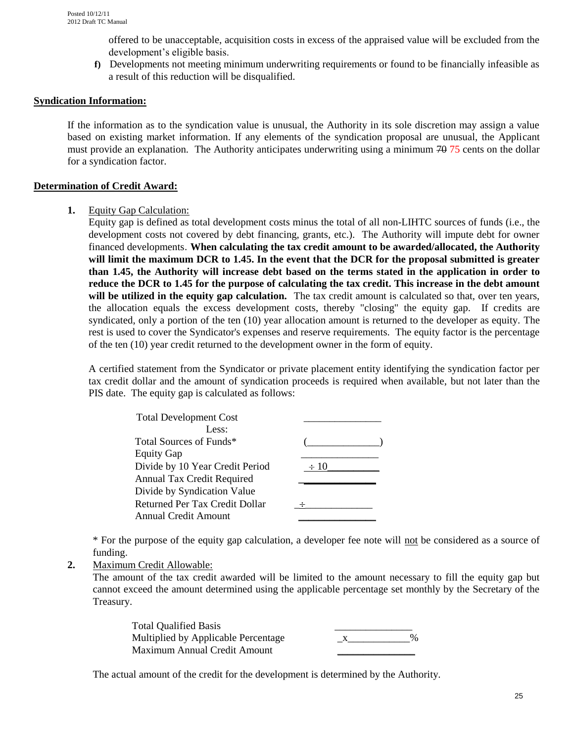offered to be unacceptable, acquisition costs in excess of the appraised value will be excluded from the development's eligible basis.

**f)** Developments not meeting minimum underwriting requirements or found to be financially infeasible as a result of this reduction will be disqualified.

#### **Syndication Information:**

If the information as to the syndication value is unusual, the Authority in its sole discretion may assign a value based on existing market information. If any elements of the syndication proposal are unusual, the Applicant must provide an explanation. The Authority anticipates underwriting using a minimum  $70\,75$  cents on the dollar for a syndication factor.

#### **Determination of Credit Award:**

#### **1.** Equity Gap Calculation:

Equity gap is defined as total development costs minus the total of all non-LIHTC sources of funds (i.e., the development costs not covered by debt financing, grants, etc.). The Authority will impute debt for owner financed developments. **When calculating the tax credit amount to be awarded/allocated, the Authority will limit the maximum DCR to 1.45. In the event that the DCR for the proposal submitted is greater than 1.45, the Authority will increase debt based on the terms stated in the application in order to reduce the DCR to 1.45 for the purpose of calculating the tax credit. This increase in the debt amount will be utilized in the equity gap calculation.** The tax credit amount is calculated so that, over ten years, the allocation equals the excess development costs, thereby "closing" the equity gap. If credits are syndicated, only a portion of the ten (10) year allocation amount is returned to the developer as equity. The rest is used to cover the Syndicator's expenses and reserve requirements. The equity factor is the percentage of the ten (10) year credit returned to the development owner in the form of equity.

A certified statement from the Syndicator or private placement entity identifying the syndication factor per tax credit dollar and the amount of syndication proceeds is required when available, but not later than the PIS date. The equity gap is calculated as follows:

| <b>Total Development Cost</b>   |           |  |
|---------------------------------|-----------|--|
| Less:                           |           |  |
| Total Sources of Funds*         |           |  |
| <b>Equity Gap</b>               |           |  |
| Divide by 10 Year Credit Period | $\div 10$ |  |
| Annual Tax Credit Required      |           |  |
| Divide by Syndication Value     |           |  |
| Returned Per Tax Credit Dollar  |           |  |
| Annual Credit Amount            |           |  |
|                                 |           |  |

\* For the purpose of the equity gap calculation, a developer fee note will not be considered as a source of funding.

### **2.** Maximum Credit Allowable:

The amount of the tax credit awarded will be limited to the amount necessary to fill the equity gap but cannot exceed the amount determined using the applicable percentage set monthly by the Secretary of the Treasury.

| <b>Total Qualified Basis</b>        |      |
|-------------------------------------|------|
| Multiplied by Applicable Percentage | $\%$ |
| Maximum Annual Credit Amount        |      |

The actual amount of the credit for the development is determined by the Authority.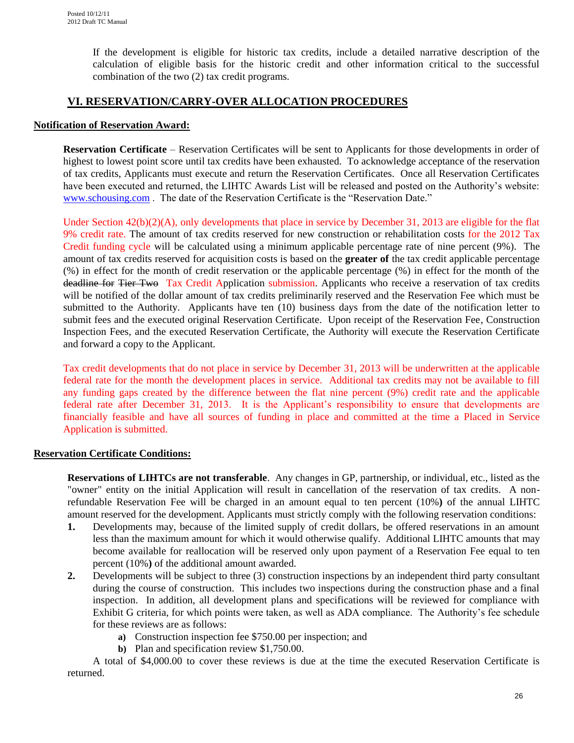If the development is eligible for historic tax credits, include a detailed narrative description of the calculation of eligible basis for the historic credit and other information critical to the successful combination of the two (2) tax credit programs.

## **VI. RESERVATION/CARRY-OVER ALLOCATION PROCEDURES**

#### **Notification of Reservation Award:**

**Reservation Certificate** – Reservation Certificates will be sent to Applicants for those developments in order of highest to lowest point score until tax credits have been exhausted. To acknowledge acceptance of the reservation of tax credits, Applicants must execute and return the Reservation Certificates. Once all Reservation Certificates have been executed and returned, the LIHTC Awards List will be released and posted on the Authority's website: [www.schousing.com](http://www.schousing.com/) . The date of the Reservation Certificate is the "Reservation Date."

Under Section  $42(b)(2)(A)$ , only developments that place in service by December 31, 2013 are eligible for the flat 9% credit rate. The amount of tax credits reserved for new construction or rehabilitation costs for the 2012 Tax Credit funding cycle will be calculated using a minimum applicable percentage rate of nine percent (9%). The amount of tax credits reserved for acquisition costs is based on the **greater of** the tax credit applicable percentage (%) in effect for the month of credit reservation or the applicable percentage (%) in effect for the month of the deadline for Tier Two Tax Credit Application submission. Applicants who receive a reservation of tax credits will be notified of the dollar amount of tax credits preliminarily reserved and the Reservation Fee which must be submitted to the Authority. Applicants have ten (10) business days from the date of the notification letter to submit fees and the executed original Reservation Certificate. Upon receipt of the Reservation Fee, Construction Inspection Fees, and the executed Reservation Certificate, the Authority will execute the Reservation Certificate and forward a copy to the Applicant.

Tax credit developments that do not place in service by December 31, 2013 will be underwritten at the applicable federal rate for the month the development places in service. Additional tax credits may not be available to fill any funding gaps created by the difference between the flat nine percent (9%) credit rate and the applicable federal rate after December 31, 2013. It is the Applicant's responsibility to ensure that developments are financially feasible and have all sources of funding in place and committed at the time a Placed in Service Application is submitted.

### **Reservation Certificate Conditions:**

**Reservations of LIHTCs are not transferable**. Any changes in GP, partnership, or individual, etc., listed as the "owner" entity on the initial Application will result in cancellation of the reservation of tax credits. A nonrefundable Reservation Fee will be charged in an amount equal to ten percent (10%**)** of the annual LIHTC amount reserved for the development. Applicants must strictly comply with the following reservation conditions:

- **1.** Developments may, because of the limited supply of credit dollars, be offered reservations in an amount less than the maximum amount for which it would otherwise qualify. Additional LIHTC amounts that may become available for reallocation will be reserved only upon payment of a Reservation Fee equal to ten percent (10%**)** of the additional amount awarded.
- **2.** Developments will be subject to three (3) construction inspections by an independent third party consultant during the course of construction. This includes two inspections during the construction phase and a final inspection. In addition, all development plans and specifications will be reviewed for compliance with Exhibit G criteria, for which points were taken, as well as ADA compliance. The Authority's fee schedule for these reviews are as follows:
	- **a)** Construction inspection fee \$750.00 per inspection; and
	- **b)** Plan and specification review \$1,750.00.

A total of \$4,000.00 to cover these reviews is due at the time the executed Reservation Certificate is returned.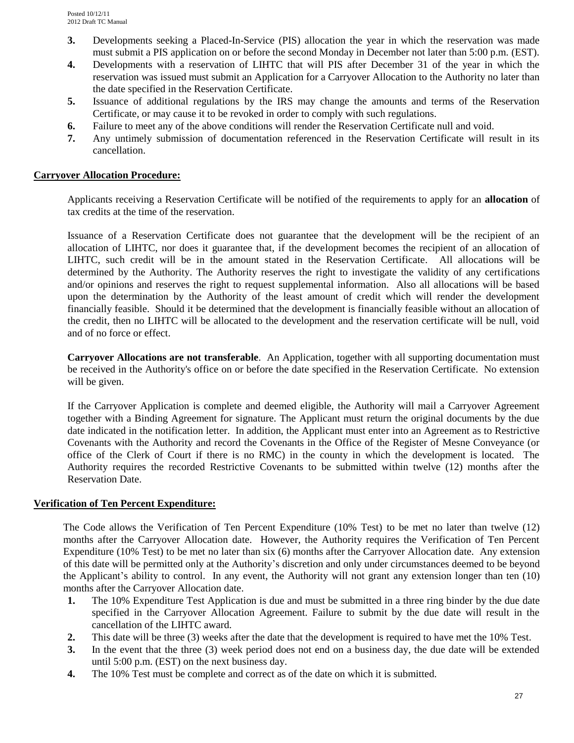- **3.** Developments seeking a Placed-In-Service (PIS) allocation the year in which the reservation was made must submit a PIS application on or before the second Monday in December not later than 5:00 p.m. (EST).
- **4.** Developments with a reservation of LIHTC that will PIS after December 31 of the year in which the reservation was issued must submit an Application for a Carryover Allocation to the Authority no later than the date specified in the Reservation Certificate.
- **5.** Issuance of additional regulations by the IRS may change the amounts and terms of the Reservation Certificate, or may cause it to be revoked in order to comply with such regulations.
- **6.** Failure to meet any of the above conditions will render the Reservation Certificate null and void.
- **7.** Any untimely submission of documentation referenced in the Reservation Certificate will result in its cancellation.

#### **Carryover Allocation Procedure:**

Applicants receiving a Reservation Certificate will be notified of the requirements to apply for an **allocation** of tax credits at the time of the reservation.

Issuance of a Reservation Certificate does not guarantee that the development will be the recipient of an allocation of LIHTC, nor does it guarantee that, if the development becomes the recipient of an allocation of LIHTC, such credit will be in the amount stated in the Reservation Certificate*.* All allocations will be determined by the Authority. The Authority reserves the right to investigate the validity of any certifications and/or opinions and reserves the right to request supplemental information. Also all allocations will be based upon the determination by the Authority of the least amount of credit which will render the development financially feasible. Should it be determined that the development is financially feasible without an allocation of the credit, then no LIHTC will be allocated to the development and the reservation certificate will be null, void and of no force or effect.

**Carryover Allocations are not transferable**. An Application, together with all supporting documentation must be received in the Authority's office on or before the date specified in the Reservation Certificate. No extension will be given.

If the Carryover Application is complete and deemed eligible, the Authority will mail a Carryover Agreement together with a Binding Agreement for signature. The Applicant must return the original documents by the due date indicated in the notification letter. In addition, the Applicant must enter into an Agreement as to Restrictive Covenants with the Authority and record the Covenants in the Office of the Register of Mesne Conveyance (or office of the Clerk of Court if there is no RMC) in the county in which the development is located. The Authority requires the recorded Restrictive Covenants to be submitted within twelve (12) months after the Reservation Date.

#### **Verification of Ten Percent Expenditure:**

The Code allows the Verification of Ten Percent Expenditure (10% Test) to be met no later than twelve (12) months after the Carryover Allocation date. However, the Authority requires the Verification of Ten Percent Expenditure (10% Test) to be met no later than six (6) months after the Carryover Allocation date.Any extension of this date will be permitted only at the Authority's discretion and only under circumstances deemed to be beyond the Applicant's ability to control. In any event, the Authority will not grant any extension longer than ten (10) months after the Carryover Allocation date.

- **1.** The 10% Expenditure Test Application is due and must be submitted in a three ring binder by the due date specified in the Carryover Allocation Agreement. Failure to submit by the due date will result in the cancellation of the LIHTC award.
- **2.** This date will be three (3) weeks after the date that the development is required to have met the 10% Test.
- **3.** In the event that the three (3) week period does not end on a business day, the due date will be extended until 5:00 p.m. (EST) on the next business day.
- **4.** The 10% Test must be complete and correct as of the date on which it is submitted.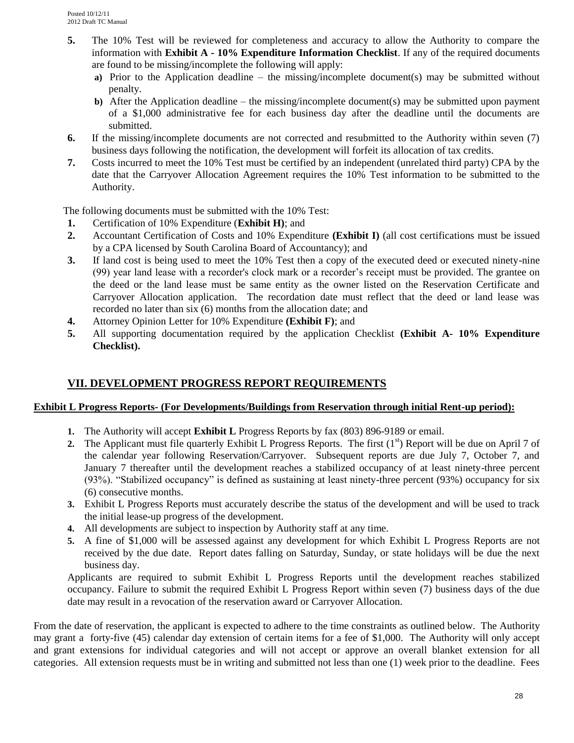- **5.** The 10% Test will be reviewed for completeness and accuracy to allow the Authority to compare the information with **Exhibit A - 10% Expenditure Information Checklist**. If any of the required documents are found to be missing/incomplete the following will apply:
	- **a)** Prior to the Application deadline the missing/incomplete document(s) may be submitted without penalty.
	- **b)** After the Application deadline the missing/incomplete document(s) may be submitted upon payment of a \$1,000 administrative fee for each business day after the deadline until the documents are submitted.
- **6.** If the missing/incomplete documents are not corrected and resubmitted to the Authority within seven (7) business days following the notification, the development will forfeit its allocation of tax credits.
- **7.** Costs incurred to meet the 10% Test must be certified by an independent (unrelated third party) CPA by the date that the Carryover Allocation Agreement requires the 10% Test information to be submitted to the Authority.

The following documents must be submitted with the 10% Test:

- **1.** Certification of 10% Expenditure (**Exhibit H)**; and
- **2.** Accountant Certification of Costs and 10% Expenditure **(Exhibit I)** (all cost certifications must be issued by a CPA licensed by South Carolina Board of Accountancy); and
- **3.** If land cost is being used to meet the 10% Test then a copy of the executed deed or executed ninety-nine (99) year land lease with a recorder's clock mark or a recorder's receipt must be provided. The grantee on the deed or the land lease must be same entity as the owner listed on the Reservation Certificate and Carryover Allocation application. The recordation date must reflect that the deed or land lease was recorded no later than six (6) months from the allocation date; and
- **4.** Attorney Opinion Letter for 10% Expenditure **(Exhibit F)**; and
- **5.** All supporting documentation required by the application Checklist **(Exhibit A- 10% Expenditure Checklist).**

## **VII. DEVELOPMENT PROGRESS REPORT REQUIREMENTS**

#### **Exhibit L Progress Reports- (For Developments/Buildings from Reservation through initial Rent-up period):**

- **1.** The Authority will accept **Exhibit L** Progress Reports by fax (803) 896-9189 or email.
- **2.** The Applicant must file quarterly Exhibit L Progress Reports. The first  $(1^{st})$  Report will be due on April 7 of the calendar year following Reservation/Carryover. Subsequent reports are due July 7, October 7, and January 7 thereafter until the development reaches a stabilized occupancy of at least ninety-three percent (93%). "Stabilized occupancy" is defined as sustaining at least ninety-three percent (93%) occupancy for six (6) consecutive months.
- **3.** Exhibit L Progress Reports must accurately describe the status of the development and will be used to track the initial lease-up progress of the development.
- **4.** All developments are subject to inspection by Authority staff at any time.
- **5.** A fine of \$1,000 will be assessed against any development for which Exhibit L Progress Reports are not received by the due date. Report dates falling on Saturday, Sunday, or state holidays will be due the next business day.

Applicants are required to submit Exhibit L Progress Reports until the development reaches stabilized occupancy. Failure to submit the required Exhibit L Progress Report within seven (7) business days of the due date may result in a revocation of the reservation award or Carryover Allocation.

From the date of reservation, the applicant is expected to adhere to the time constraints as outlined below. The Authority may grant a forty-five (45) calendar day extension of certain items for a fee of \$1,000. The Authority will only accept and grant extensions for individual categories and will not accept or approve an overall blanket extension for all categories. All extension requests must be in writing and submitted not less than one (1) week prior to the deadline. Fees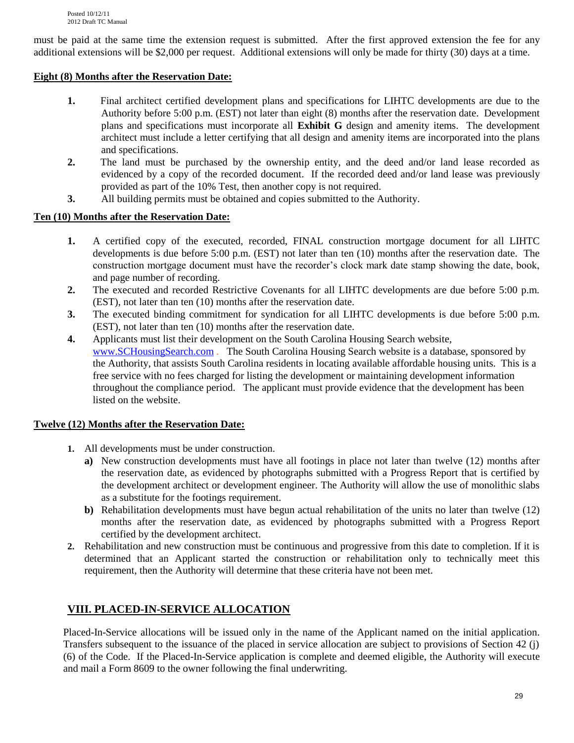must be paid at the same time the extension request is submitted. After the first approved extension the fee for any additional extensions will be \$2,000 per request. Additional extensions will only be made for thirty (30) days at a time.

### **Eight (8) Months after the Reservation Date:**

- **1.** Final architect certified development plans and specifications for LIHTC developments are due to the Authority before 5:00 p.m. (EST) not later than eight (8) months after the reservation date. Development plans and specifications must incorporate all **Exhibit G** design and amenity items. The development architect must include a letter certifying that all design and amenity items are incorporated into the plans and specifications.
- **2.** The land must be purchased by the ownership entity, and the deed and/or land lease recorded as evidenced by a copy of the recorded document. If the recorded deed and/or land lease was previously provided as part of the 10% Test, then another copy is not required.
- **3.** All building permits must be obtained and copies submitted to the Authority.

## **Ten (10) Months after the Reservation Date:**

- **1.** A certified copy of the executed, recorded, FINAL construction mortgage document for all LIHTC developments is due before 5:00 p.m. (EST) not later than ten (10) months after the reservation date. The construction mortgage document must have the recorder's clock mark date stamp showing the date, book, and page number of recording.
- **2.** The executed and recorded Restrictive Covenants for all LIHTC developments are due before 5:00 p.m. (EST), not later than ten (10) months after the reservation date.
- **3.** The executed binding commitment for syndication for all LIHTC developments is due before 5:00 p.m. (EST), not later than ten (10) months after the reservation date.
- **4.** Applicants must list their development on the South Carolina Housing Search website, [www.SCHousingSearch.com](http://www.schousingsearch.com/) . The South Carolina Housing Search website is a database, sponsored by the Authority, that assists South Carolina residents in locating available affordable housing units. This is a free service with no fees charged for listing the development or maintaining development information throughout the compliance period. The applicant must provide evidence that the development has been listed on the website.

### **Twelve (12) Months after the Reservation Date:**

- **1.** All developments must be under construction.
	- **a)** New construction developments must have all footings in place not later than twelve (12) months after the reservation date, as evidenced by photographs submitted with a Progress Report that is certified by the development architect or development engineer. The Authority will allow the use of monolithic slabs as a substitute for the footings requirement.
	- **b)** Rehabilitation developments must have begun actual rehabilitation of the units no later than twelve (12) months after the reservation date, as evidenced by photographs submitted with a Progress Report certified by the development architect.
- **2.** Rehabilitation and new construction must be continuous and progressive from this date to completion. If it is determined that an Applicant started the construction or rehabilitation only to technically meet this requirement, then the Authority will determine that these criteria have not been met.

## **VIII. PLACED-IN-SERVICE ALLOCATION**

Placed-In-Service allocations will be issued only in the name of the Applicant named on the initial application. Transfers subsequent to the issuance of the placed in service allocation are subject to provisions of Section 42 (j) (6) of the Code. If the Placed-In-Service application is complete and deemed eligible, the Authority will execute and mail a Form 8609 to the owner following the final underwriting.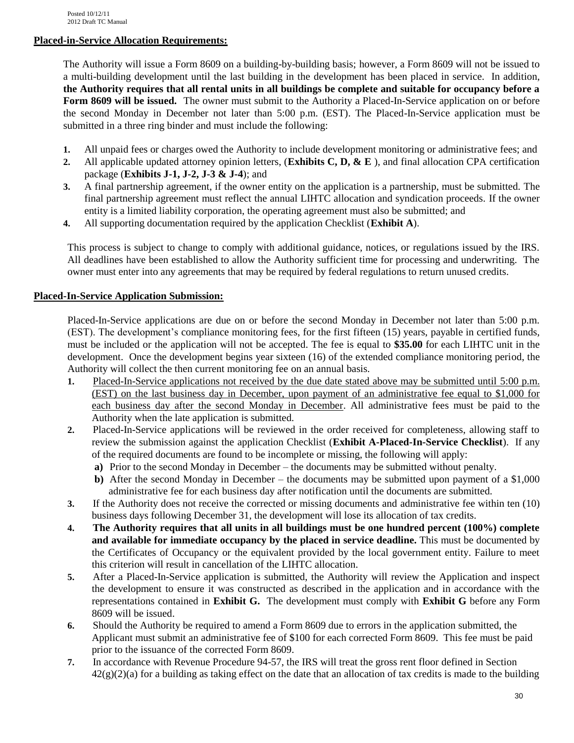### **Placed-in-Service Allocation Requirements:**

The Authority will issue a Form 8609 on a building-by-building basis; however, a Form 8609 will not be issued to a multi-building development until the last building in the development has been placed in service*.* In addition, **the Authority requires that all rental units in all buildings be complete and suitable for occupancy before a Form 8609 will be issued.** The owner must submit to the Authority a Placed-In-Service application on or before the second Monday in December not later than 5:00 p.m. (EST). The Placed-In-Service application must be submitted in a three ring binder and must include the following:

- **1.** All unpaid fees or charges owed the Authority to include development monitoring or administrative fees; and
- **2.** All applicable updated attorney opinion letters, (**Exhibits C, D, & E** ), and final allocation CPA certification package (**Exhibits J-1, J-2, J-3 & J-4**); and
- **3.** A final partnership agreement, if the owner entity on the application is a partnership, must be submitted. The final partnership agreement must reflect the annual LIHTC allocation and syndication proceeds. If the owner entity is a limited liability corporation, the operating agreement must also be submitted; and
- **4.** All supporting documentation required by the application Checklist (**Exhibit A**).

This process is subject to change to comply with additional guidance, notices, or regulations issued by the IRS. All deadlines have been established to allow the Authority sufficient time for processing and underwriting. The owner must enter into any agreements that may be required by federal regulations to return unused credits.

## **Placed-In-Service Application Submission:**

Placed-In-Service applications are due on or before the second Monday in December not later than 5:00 p.m. (EST). The development's compliance monitoring fees, for the first fifteen (15) years, payable in certified funds, must be included or the application will not be accepted. The fee is equal to **\$35.00** for each LIHTC unit in the development. Once the development begins year sixteen (16) of the extended compliance monitoring period, the Authority will collect the then current monitoring fee on an annual basis.

- **1.** Placed-In-Service applications not received by the due date stated above may be submitted until 5:00 p.m. (EST) on the last business day in December, upon payment of an administrative fee equal to \$1,000 for each business day after the second Monday in December. All administrative fees must be paid to the Authority when the late application is submitted.
- **2.** Placed-In-Service applications will be reviewed in the order received for completeness, allowing staff to review the submission against the application Checklist (**Exhibit A-Placed-In-Service Checklist**). If any of the required documents are found to be incomplete or missing, the following will apply:
	- **a)** Prior to the second Monday in December the documents may be submitted without penalty.
	- **b**) After the second Monday in December the documents may be submitted upon payment of a \$1,000 administrative fee for each business day after notification until the documents are submitted.
- **3.** If the Authority does not receive the corrected or missing documents and administrative fee within ten (10) business days following December 31, the development will lose its allocation of tax credits.
- **4. The Authority requires that all units in all buildings must be one hundred percent (100%) complete and available for immediate occupancy by the placed in service deadline.** This must be documented by the Certificates of Occupancy or the equivalent provided by the local government entity. Failure to meet this criterion will result in cancellation of the LIHTC allocation.
- **5.** After a Placed-In-Service application is submitted, the Authority will review the Application and inspect the development to ensure it was constructed as described in the application and in accordance with the representations contained in **Exhibit G.** The development must comply with **Exhibit G** before any Form 8609 will be issued.
- **6.** Should the Authority be required to amend a Form 8609 due to errors in the application submitted, the Applicant must submit an administrative fee of \$100 for each corrected Form 8609. This fee must be paid prior to the issuance of the corrected Form 8609.
- **7.** In accordance with Revenue Procedure 94-57, the IRS will treat the gross rent floor defined in Section  $42(g)(2)(a)$  for a building as taking effect on the date that an allocation of tax credits is made to the building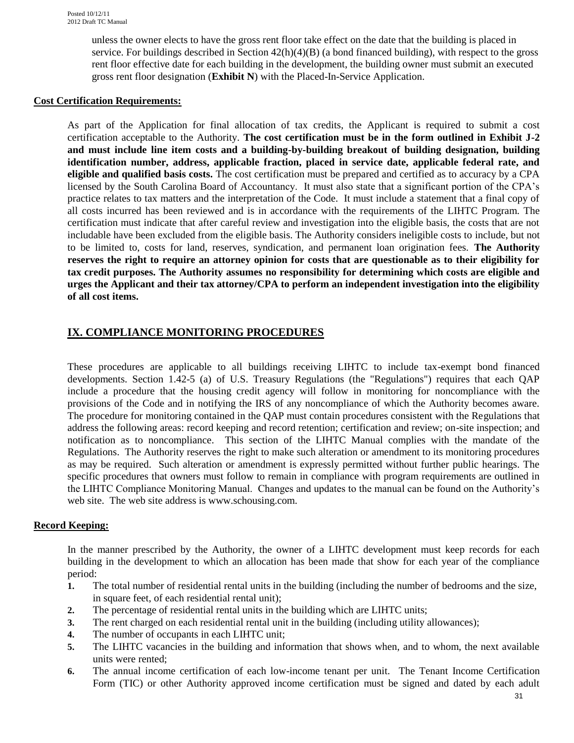unless the owner elects to have the gross rent floor take effect on the date that the building is placed in service. For buildings described in Section 42(h)(4)(B) (a bond financed building), with respect to the gross rent floor effective date for each building in the development, the building owner must submit an executed gross rent floor designation (**Exhibit N**) with the Placed-In-Service Application.

#### **Cost Certification Requirements:**

As part of the Application for final allocation of tax credits, the Applicant is required to submit a cost certification acceptable to the Authority. **The cost certification must be in the form outlined in Exhibit J-2 and must include line item costs and a building-by-building breakout of building designation, building identification number, address, applicable fraction, placed in service date, applicable federal rate, and eligible and qualified basis costs.** The cost certification must be prepared and certified as to accuracy by a CPA licensed by the South Carolina Board of Accountancy. It must also state that a significant portion of the CPA's practice relates to tax matters and the interpretation of the Code. It must include a statement that a final copy of all costs incurred has been reviewed and is in accordance with the requirements of the LIHTC Program. The certification must indicate that after careful review and investigation into the eligible basis, the costs that are not includable have been excluded from the eligible basis. The Authority considers ineligible costs to include, but not to be limited to, costs for land, reserves, syndication, and permanent loan origination fees. **The Authority reserves the right to require an attorney opinion for costs that are questionable as to their eligibility for tax credit purposes. The Authority assumes no responsibility for determining which costs are eligible and urges the Applicant and their tax attorney/CPA to perform an independent investigation into the eligibility of all cost items.**

## **IX. COMPLIANCE MONITORING PROCEDURES**

These procedures are applicable to all buildings receiving LIHTC to include tax-exempt bond financed developments. Section 1.42-5 (a) of U.S. Treasury Regulations (the "Regulations") requires that each QAP include a procedure that the housing credit agency will follow in monitoring for noncompliance with the provisions of the Code and in notifying the IRS of any noncompliance of which the Authority becomes aware. The procedure for monitoring contained in the QAP must contain procedures consistent with the Regulations that address the following areas: record keeping and record retention; certification and review; on-site inspection; and notification as to noncompliance. This section of the LIHTC Manual complies with the mandate of the Regulations. The Authority reserves the right to make such alteration or amendment to its monitoring procedures as may be required. Such alteration or amendment is expressly permitted without further public hearings. The specific procedures that owners must follow to remain in compliance with program requirements are outlined in the LIHTC Compliance Monitoring Manual. Changes and updates to the manual can be found on the Authority's web site. The web site address is www.schousing.com.

#### **Record Keeping:**

In the manner prescribed by the Authority, the owner of a LIHTC development must keep records for each building in the development to which an allocation has been made that show for each year of the compliance period:

- **1.** The total number of residential rental units in the building (including the number of bedrooms and the size, in square feet, of each residential rental unit);
- **2.** The percentage of residential rental units in the building which are LIHTC units;
- **3.** The rent charged on each residential rental unit in the building (including utility allowances);
- **4.** The number of occupants in each LIHTC unit;
- **5.** The LIHTC vacancies in the building and information that shows when, and to whom, the next available units were rented;
- **6.** The annual income certification of each low-income tenant per unit. The Tenant Income Certification Form (TIC) or other Authority approved income certification must be signed and dated by each adult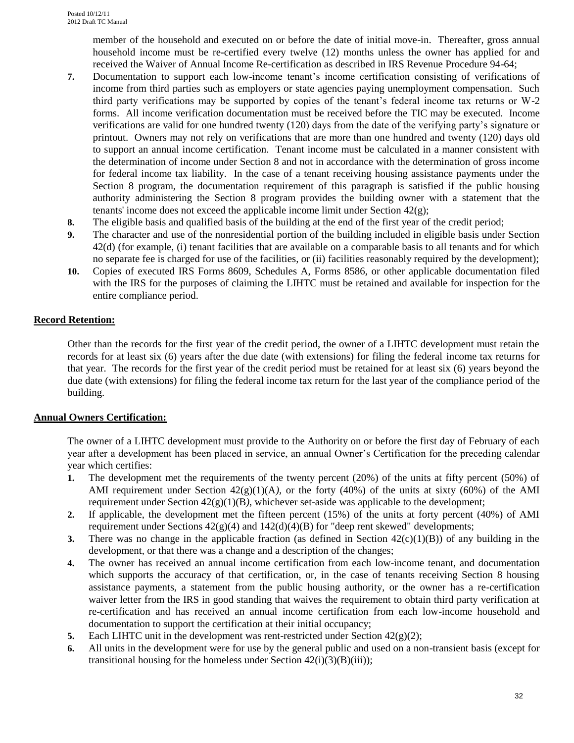member of the household and executed on or before the date of initial move-in. Thereafter, gross annual household income must be re-certified every twelve (12) months unless the owner has applied for and received the Waiver of Annual Income Re-certification as described in IRS Revenue Procedure 94-64;

- **7.** Documentation to support each low-income tenant's income certification consisting of verifications of income from third parties such as employers or state agencies paying unemployment compensation. Such third party verifications may be supported by copies of the tenant's federal income tax returns or W-2 forms. All income verification documentation must be received before the TIC may be executed. Income verifications are valid for one hundred twenty (120) days from the date of the verifying party's signature or printout. Owners may not rely on verifications that are more than one hundred and twenty (120) days old to support an annual income certification. Tenant income must be calculated in a manner consistent with the determination of income under Section 8 and not in accordance with the determination of gross income for federal income tax liability. In the case of a tenant receiving housing assistance payments under the Section 8 program, the documentation requirement of this paragraph is satisfied if the public housing authority administering the Section 8 program provides the building owner with a statement that the tenants' income does not exceed the applicable income limit under Section  $42(g)$ ;
- **8.** The eligible basis and qualified basis of the building at the end of the first year of the credit period;
- **9.** The character and use of the nonresidential portion of the building included in eligible basis under Section 42(d) (for example, (i) tenant facilities that are available on a comparable basis to all tenants and for which no separate fee is charged for use of the facilities, or (ii) facilities reasonably required by the development);
- **10.** Copies of executed IRS Forms 8609, Schedules A, Forms 8586, or other applicable documentation filed with the IRS for the purposes of claiming the LIHTC must be retained and available for inspection for the entire compliance period.

## **Record Retention:**

Other than the records for the first year of the credit period, the owner of a LIHTC development must retain the records for at least six (6) years after the due date (with extensions) for filing the federal income tax returns for that year. The records for the first year of the credit period must be retained for at least six (6) years beyond the due date (with extensions) for filing the federal income tax return for the last year of the compliance period of the building.

### **Annual Owners Certification:**

The owner of a LIHTC development must provide to the Authority on or before the first day of February of each year after a development has been placed in service, an annual Owner's Certification for the preceding calendar year which certifies:

- **1.** The development met the requirements of the twenty percent (20%) of the units at fifty percent (50%) of AMI requirement under Section  $42(g)(1)(A)$ , or the forty (40%) of the units at sixty (60%) of the AMI requirement under Section 42(g)(1)(B*)*, whichever set-aside was applicable to the development;
- **2.** If applicable, the development met the fifteen percent (15%) of the units at forty percent (40%) of AMI requirement under Sections  $42(g)(4)$  and  $142(d)(4)(B)$  for "deep rent skewed" developments;
- **3.** There was no change in the applicable fraction (as defined in Section  $42(c)(1)(B)$ ) of any building in the development, or that there was a change and a description of the changes;
- **4.** The owner has received an annual income certification from each low-income tenant, and documentation which supports the accuracy of that certification, or, in the case of tenants receiving Section 8 housing assistance payments, a statement from the public housing authority, or the owner has a re-certification waiver letter from the IRS in good standing that waives the requirement to obtain third party verification at re-certification and has received an annual income certification from each low-income household and documentation to support the certification at their initial occupancy;
- **5.** Each LIHTC unit in the development was rent-restricted under Section  $42(g)(2)$ ;
- **6.** All units in the development were for use by the general public and used on a non-transient basis (except for transitional housing for the homeless under Section  $42(i)(3)(B)(iii)$ ;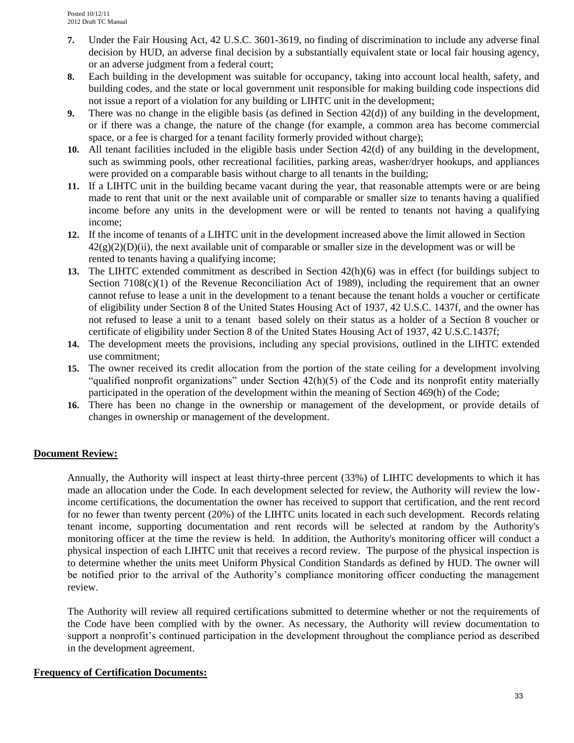- **7.** Under the Fair Housing Act, 42 U.S.C. 3601-3619, no finding of discrimination to include any adverse final decision by HUD, an adverse final decision by a substantially equivalent state or local fair housing agency, or an adverse judgment from a federal court;
- **8.** Each building in the development was suitable for occupancy, taking into account local health, safety, and building codes, and the state or local government unit responsible for making building code inspections did not issue a report of a violation for any building or LIHTC unit in the development;
- **9.** There was no change in the eligible basis (as defined in Section 42(d)) of any building in the development, or if there was a change, the nature of the change (for example, a common area has become commercial space, or a fee is charged for a tenant facility formerly provided without charge);
- **10.** All tenant facilities included in the eligible basis under Section 42(d) of any building in the development, such as swimming pools, other recreational facilities, parking areas, washer/dryer hookups, and appliances were provided on a comparable basis without charge to all tenants in the building;
- **11.** If a LIHTC unit in the building became vacant during the year, that reasonable attempts were or are being made to rent that unit or the next available unit of comparable or smaller size to tenants having a qualified income before any units in the development were or will be rented to tenants not having a qualifying income;
- **12.** If the income of tenants of a LIHTC unit in the development increased above the limit allowed in Section  $42(g)(2)(D)(ii)$ , the next available unit of comparable or smaller size in the development was or will be rented to tenants having a qualifying income;
- **13.** The LIHTC extended commitment as described in Section 42(h)(6) was in effect (for buildings subject to Section  $7108(c)(1)$  of the Revenue Reconciliation Act of 1989), including the requirement that an owner cannot refuse to lease a unit in the development to a tenant because the tenant holds a voucher or certificate of eligibility under Section 8 of the United States Housing Act of 1937, 42 U.S.C. 1437f, and the owner has not refused to lease a unit to a tenant based solely on their status as a holder of a Section 8 voucher or certificate of eligibility under Section 8 of the United States Housing Act of 1937, 42 U.S.C.1437f;
- **14.** The development meets the provisions, including any special provisions, outlined in the LIHTC extended use commitment;
- **15.** The owner received its credit allocation from the portion of the state ceiling for a development involving "qualified nonprofit organizations" under Section  $42(h)(5)$  of the Code and its nonprofit entity materially participated in the operation of the development within the meaning of Section 469(h) of the Code;
- **16.** There has been no change in the ownership or management of the development, or provide details of changes in ownership or management of the development.

## **Document Review:**

Annually, the Authority will inspect at least thirty-three percent (33%) of LIHTC developments to which it has made an allocation under the Code. In each development selected for review, the Authority will review the lowincome certifications, the documentation the owner has received to support that certification, and the rent record for no fewer than twenty percent (20%) of the LIHTC units located in each such development. Records relating tenant income, supporting documentation and rent records will be selected at random by the Authority's monitoring officer at the time the review is held. In addition, the Authority's monitoring officer will conduct a physical inspection of each LIHTC unit that receives a record review. The purpose of the physical inspection is to determine whether the units meet Uniform Physical Condition Standards as defined by HUD. The owner will be notified prior to the arrival of the Authority's compliance monitoring officer conducting the management review.

The Authority will review all required certifications submitted to determine whether or not the requirements of the Code have been complied with by the owner. As necessary, the Authority will review documentation to support a nonprofit's continued participation in the development throughout the compliance period as described in the development agreement.

#### **Frequency of Certification Documents:**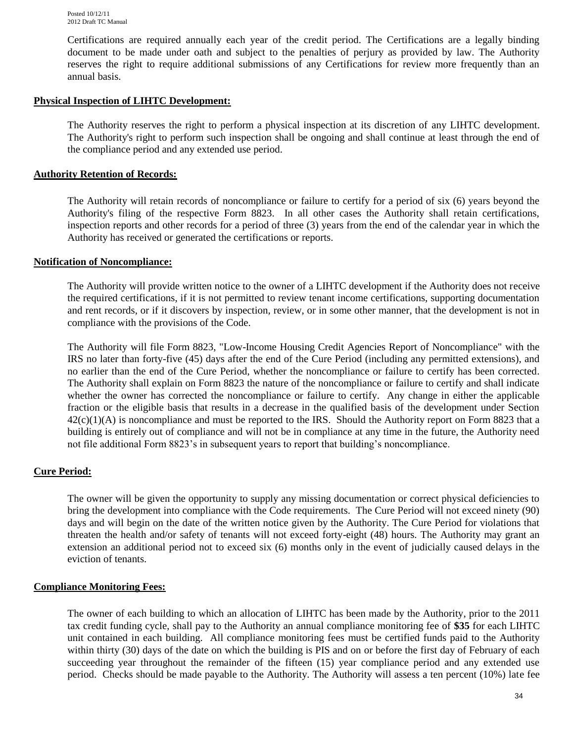Certifications are required annually each year of the credit period. The Certifications are a legally binding document to be made under oath and subject to the penalties of perjury as provided by law. The Authority reserves the right to require additional submissions of any Certifications for review more frequently than an annual basis.

#### **Physical Inspection of LIHTC Development:**

The Authority reserves the right to perform a physical inspection at its discretion of any LIHTC development. The Authority's right to perform such inspection shall be ongoing and shall continue at least through the end of the compliance period and any extended use period.

#### **Authority Retention of Records:**

The Authority will retain records of noncompliance or failure to certify for a period of six (6) years beyond the Authority's filing of the respective Form 8823. In all other cases the Authority shall retain certifications, inspection reports and other records for a period of three (3) years from the end of the calendar year in which the Authority has received or generated the certifications or reports.

#### **Notification of Noncompliance:**

The Authority will provide written notice to the owner of a LIHTC development if the Authority does not receive the required certifications, if it is not permitted to review tenant income certifications, supporting documentation and rent records, or if it discovers by inspection, review, or in some other manner, that the development is not in compliance with the provisions of the Code.

The Authority will file Form 8823, "Low-Income Housing Credit Agencies Report of Noncompliance" with the IRS no later than forty-five (45) days after the end of the Cure Period (including any permitted extensions), and no earlier than the end of the Cure Period, whether the noncompliance or failure to certify has been corrected*.*  The Authority shall explain on Form 8823 the nature of the noncompliance or failure to certify and shall indicate whether the owner has corrected the noncompliance or failure to certify. Any change in either the applicable fraction or the eligible basis that results in a decrease in the qualified basis of the development under Section  $42(c)(1)(A)$  is noncompliance and must be reported to the IRS. Should the Authority report on Form 8823 that a building is entirely out of compliance and will not be in compliance at any time in the future, the Authority need not file additional Form 8823's in subsequent years to report that building's noncompliance.

#### **Cure Period:**

The owner will be given the opportunity to supply any missing documentation or correct physical deficiencies to bring the development into compliance with the Code requirements. The Cure Period will not exceed ninety (90) days and will begin on the date of the written notice given by the Authority. The Cure Period for violations that threaten the health and/or safety of tenants will not exceed forty-eight (48) hours. The Authority may grant an extension an additional period not to exceed six (6) months only in the event of judicially caused delays in the eviction of tenants.

#### **Compliance Monitoring Fees:**

The owner of each building to which an allocation of LIHTC has been made by the Authority, prior to the 2011 tax credit funding cycle, shall pay to the Authority an annual compliance monitoring fee of **\$35** for each LIHTC unit contained in each building. All compliance monitoring fees must be certified funds paid to the Authority within thirty (30) days of the date on which the building is PIS and on or before the first day of February of each succeeding year throughout the remainder of the fifteen (15) year compliance period and any extended use period. Checks should be made payable to the Authority. The Authority will assess a ten percent (10%) late fee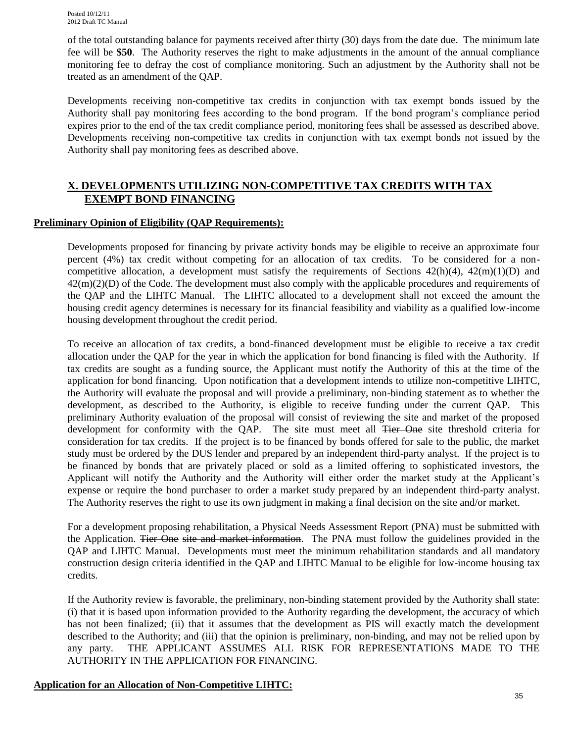of the total outstanding balance for payments received after thirty (30) days from the date due. The minimum late fee will be **\$50**. The Authority reserves the right to make adjustments in the amount of the annual compliance monitoring fee to defray the cost of compliance monitoring. Such an adjustment by the Authority shall not be treated as an amendment of the QAP.

Developments receiving non-competitive tax credits in conjunction with tax exempt bonds issued by the Authority shall pay monitoring fees according to the bond program. If the bond program's compliance period expires prior to the end of the tax credit compliance period, monitoring fees shall be assessed as described above. Developments receiving non-competitive tax credits in conjunction with tax exempt bonds not issued by the Authority shall pay monitoring fees as described above.

## **X. DEVELOPMENTS UTILIZING NON-COMPETITIVE TAX CREDITS WITH TAX EXEMPT BOND FINANCING**

#### **Preliminary Opinion of Eligibility (QAP Requirements):**

Developments proposed for financing by private activity bonds may be eligible to receive an approximate four percent (4%) tax credit without competing for an allocation of tax credits. To be considered for a noncompetitive allocation, a development must satisfy the requirements of Sections  $42(h)(4)$ ,  $42(m)(1)(D)$  and  $42(m)(2)(D)$  of the Code. The development must also comply with the applicable procedures and requirements of the QAP and the LIHTC Manual. The LIHTC allocated to a development shall not exceed the amount the housing credit agency determines is necessary for its financial feasibility and viability as a qualified low-income housing development throughout the credit period.

To receive an allocation of tax credits, a bond-financed development must be eligible to receive a tax credit allocation under the QAP for the year in which the application for bond financing is filed with the Authority. If tax credits are sought as a funding source, the Applicant must notify the Authority of this at the time of the application for bond financing. Upon notification that a development intends to utilize non-competitive LIHTC, the Authority will evaluate the proposal and will provide a preliminary, non-binding statement as to whether the development, as described to the Authority, is eligible to receive funding under the current QAP. This preliminary Authority evaluation of the proposal will consist of reviewing the site and market of the proposed development for conformity with the QAP. The site must meet all <del>Tier One</del> site threshold criteria for consideration for tax credits. If the project is to be financed by bonds offered for sale to the public, the market study must be ordered by the DUS lender and prepared by an independent third-party analyst. If the project is to be financed by bonds that are privately placed or sold as a limited offering to sophisticated investors, the Applicant will notify the Authority and the Authority will either order the market study at the Applicant's expense or require the bond purchaser to order a market study prepared by an independent third-party analyst. The Authority reserves the right to use its own judgment in making a final decision on the site and/or market.

For a development proposing rehabilitation, a Physical Needs Assessment Report (PNA) must be submitted with the Application. Tier One site and market information. The PNA must follow the guidelines provided in the QAP and LIHTC Manual. Developments must meet the minimum rehabilitation standards and all mandatory construction design criteria identified in the QAP and LIHTC Manual to be eligible for low-income housing tax credits.

If the Authority review is favorable, the preliminary, non-binding statement provided by the Authority shall state: (i) that it is based upon information provided to the Authority regarding the development, the accuracy of which has not been finalized; (ii) that it assumes that the development as PIS will exactly match the development described to the Authority; and (iii) that the opinion is preliminary, non-binding, and may not be relied upon by any party. THE APPLICANT ASSUMES ALL RISK FOR REPRESENTATIONS MADE TO THE AUTHORITY IN THE APPLICATION FOR FINANCING.

### **Application for an Allocation of Non-Competitive LIHTC:**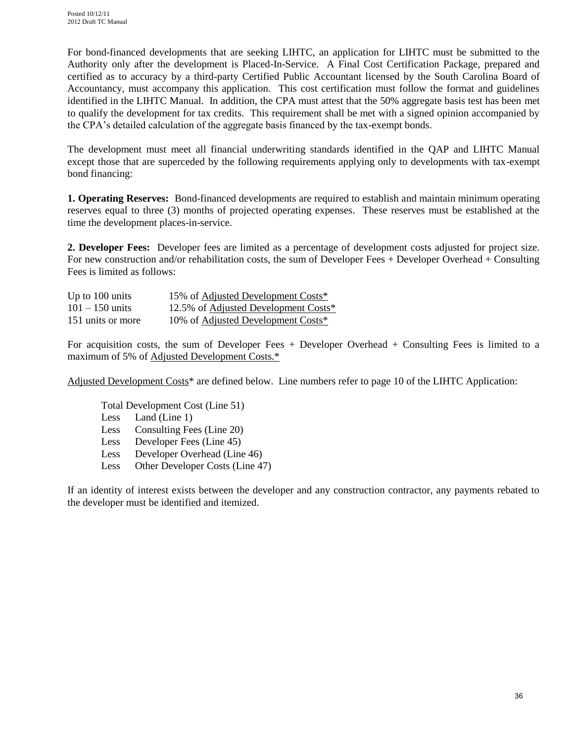For bond-financed developments that are seeking LIHTC, an application for LIHTC must be submitted to the Authority only after the development is Placed-In-Service. A Final Cost Certification Package, prepared and certified as to accuracy by a third-party Certified Public Accountant licensed by the South Carolina Board of Accountancy, must accompany this application. This cost certification must follow the format and guidelines identified in the LIHTC Manual. In addition, the CPA must attest that the 50% aggregate basis test has been met to qualify the development for tax credits. This requirement shall be met with a signed opinion accompanied by the CPA's detailed calculation of the aggregate basis financed by the tax-exempt bonds.

The development must meet all financial underwriting standards identified in the QAP and LIHTC Manual except those that are superceded by the following requirements applying only to developments with tax-exempt bond financing:

**1. Operating Reserves:** Bond-financed developments are required to establish and maintain minimum operating reserves equal to three (3) months of projected operating expenses. These reserves must be established at the time the development places-in-service.

**2. Developer Fees:** Developer fees are limited as a percentage of development costs adjusted for project size. For new construction and/or rehabilitation costs, the sum of Developer Fees + Developer Overhead + Consulting Fees is limited as follows:

| Up to $100 \text{ units}$ | 15% of Adjusted Development Costs*           |
|---------------------------|----------------------------------------------|
| $101 - 150$ units         | 12.5% of <u>Adjusted Development Costs</u> * |
| 151 units or more         | 10% of Adjusted Development Costs*           |

For acquisition costs, the sum of Developer Fees + Developer Overhead + Consulting Fees is limited to a maximum of 5% of Adjusted Development Costs.\*

Adjusted Development Costs\* are defined below. Line numbers refer to page 10 of the LIHTC Application:

Total Development Cost (Line 51) Less Land (Line 1) Less Consulting Fees (Line 20) Less Developer Fees (Line 45) Less Developer Overhead (Line 46) Less Other Developer Costs (Line 47)

If an identity of interest exists between the developer and any construction contractor, any payments rebated to the developer must be identified and itemized.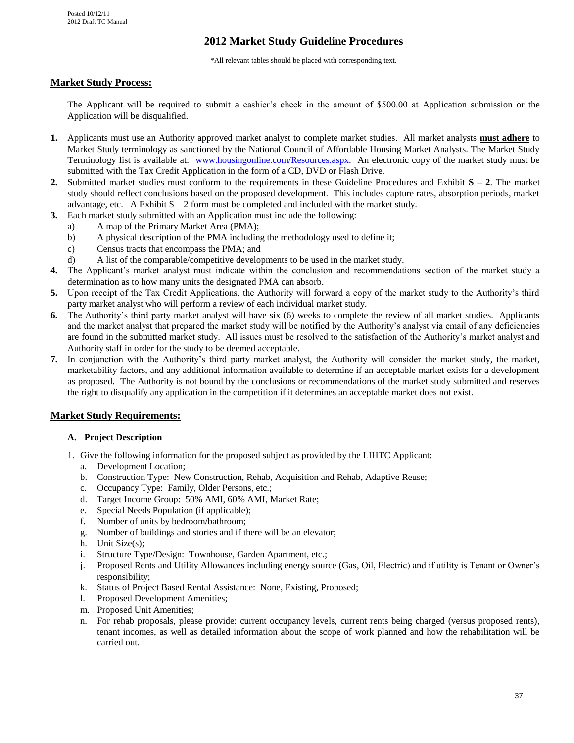## **2012 Market Study Guideline Procedures**

\*All relevant tables should be placed with corresponding text.

#### **Market Study Process:**

The Applicant will be required to submit a cashier's check in the amount of \$500.00 at Application submission or the Application will be disqualified.

- **1.** Applicants must use an Authority approved market analyst to complete market studies. All market analysts **must adhere** to Market Study terminology as sanctioned by the National Council of Affordable Housing Market Analysts. The Market Study Terminology list is available at: [www.housingonline.com/Resources.aspx.](http://www.housingonline.com/Resources.aspx) An electronic copy of the market study must be submitted with the Tax Credit Application in the form of a CD, DVD or Flash Drive.
- **2.** Submitted market studies must conform to the requirements in these Guideline Procedures and Exhibit  $S 2$ . The market study should reflect conclusions based on the proposed development. This includes capture rates, absorption periods, market advantage, etc. A Exhibit  $S - 2$  form must be completed and included with the market study.
- **3.** Each market study submitted with an Application must include the following:
	- a) A map of the Primary Market Area (PMA);
	- b) A physical description of the PMA including the methodology used to define it;
	- c) Census tracts that encompass the PMA; and
	- d) A list of the comparable/competitive developments to be used in the market study.
- **4.** The Applicant's market analyst must indicate within the conclusion and recommendations section of the market study a determination as to how many units the designated PMA can absorb.
- **5.** Upon receipt of the Tax Credit Applications, the Authority will forward a copy of the market study to the Authority's third party market analyst who will perform a review of each individual market study.
- **6.** The Authority's third party market analyst will have six (6) weeks to complete the review of all market studies. Applicants and the market analyst that prepared the market study will be notified by the Authority's analyst via email of any deficiencies are found in the submitted market study. All issues must be resolved to the satisfaction of the Authority's market analyst and Authority staff in order for the study to be deemed acceptable.
- **7.** In conjunction with the Authority's third party market analyst, the Authority will consider the market study, the market, marketability factors, and any additional information available to determine if an acceptable market exists for a development as proposed. The Authority is not bound by the conclusions or recommendations of the market study submitted and reserves the right to disqualify any application in the competition if it determines an acceptable market does not exist.

#### **Market Study Requirements:**

#### **A. Project Description**

- 1. Give the following information for the proposed subject as provided by the LIHTC Applicant:
	- a. Development Location;
	- b. Construction Type: New Construction, Rehab, Acquisition and Rehab, Adaptive Reuse;
	- c. Occupancy Type: Family, Older Persons, etc.;
	- d. Target Income Group: 50% AMI, 60% AMI, Market Rate;
	- e. Special Needs Population (if applicable);
	- f. Number of units by bedroom/bathroom;
	- g. Number of buildings and stories and if there will be an elevator;
	- h. Unit Size(s);
	- i. Structure Type/Design: Townhouse, Garden Apartment, etc.;
	- j. Proposed Rents and Utility Allowances including energy source (Gas, Oil, Electric) and if utility is Tenant or Owner's responsibility;
	- k. Status of Project Based Rental Assistance: None, Existing, Proposed;
	- l. Proposed Development Amenities;
	- m. Proposed Unit Amenities;
	- n. For rehab proposals, please provide: current occupancy levels, current rents being charged (versus proposed rents), tenant incomes, as well as detailed information about the scope of work planned and how the rehabilitation will be carried out.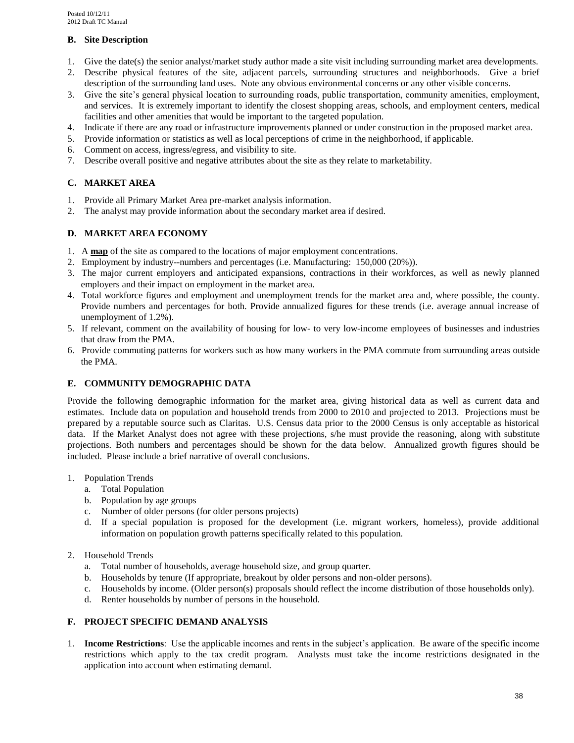#### **B. Site Description**

- 1. Give the date(s) the senior analyst/market study author made a site visit including surrounding market area developments.
- 2. Describe physical features of the site, adjacent parcels, surrounding structures and neighborhoods. Give a brief description of the surrounding land uses. Note any obvious environmental concerns or any other visible concerns.
- 3. Give the site's general physical location to surrounding roads, public transportation, community amenities, employment, and services. It is extremely important to identify the closest shopping areas, schools, and employment centers, medical facilities and other amenities that would be important to the targeted population.
- 4. Indicate if there are any road or infrastructure improvements planned or under construction in the proposed market area.
- 5. Provide information or statistics as well as local perceptions of crime in the neighborhood, if applicable.
- 6. Comment on access, ingress/egress, and visibility to site.
- 7. Describe overall positive and negative attributes about the site as they relate to marketability.

#### **C. MARKET AREA**

- 1. Provide all Primary Market Area pre-market analysis information.
- 2. The analyst may provide information about the secondary market area if desired.

#### **D. MARKET AREA ECONOMY**

- 1. A **map** of the site as compared to the locations of major employment concentrations.
- 2. Employment by industry--numbers and percentages (i.e. Manufacturing: 150,000 (20%)).
- 3. The major current employers and anticipated expansions, contractions in their workforces, as well as newly planned employers and their impact on employment in the market area.
- 4. Total workforce figures and employment and unemployment trends for the market area and, where possible, the county. Provide numbers and percentages for both. Provide annualized figures for these trends (i.e. average annual increase of unemployment of 1.2%).
- 5. If relevant, comment on the availability of housing for low- to very low-income employees of businesses and industries that draw from the PMA.
- 6. Provide commuting patterns for workers such as how many workers in the PMA commute from surrounding areas outside the PMA.

#### **E. COMMUNITY DEMOGRAPHIC DATA**

Provide the following demographic information for the market area, giving historical data as well as current data and estimates. Include data on population and household trends from 2000 to 2010 and projected to 2013. Projections must be prepared by a reputable source such as Claritas. U.S. Census data prior to the 2000 Census is only acceptable as historical data. If the Market Analyst does not agree with these projections, s/he must provide the reasoning, along with substitute projections. Both numbers and percentages should be shown for the data below. Annualized growth figures should be included. Please include a brief narrative of overall conclusions.

#### 1. Population Trends

- a. Total Population
- b. Population by age groups
- c. Number of older persons (for older persons projects)
- d. If a special population is proposed for the development (i.e. migrant workers, homeless), provide additional information on population growth patterns specifically related to this population.
- 2. Household Trends
	- a. Total number of households, average household size, and group quarter.
	- b. Households by tenure (If appropriate, breakout by older persons and non-older persons).
	- c. Households by income. (Older person(s) proposals should reflect the income distribution of those households only).
	- d. Renter households by number of persons in the household.

#### **F. PROJECT SPECIFIC DEMAND ANALYSIS**

1. **Income Restrictions**: Use the applicable incomes and rents in the subject's application. Be aware of the specific income restrictions which apply to the tax credit program. Analysts must take the income restrictions designated in the application into account when estimating demand.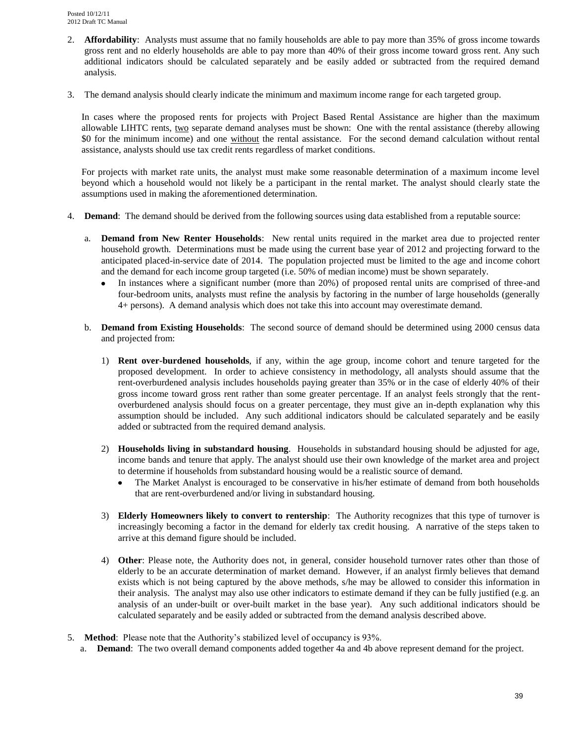- 2. **Affordability**: Analysts must assume that no family households are able to pay more than 35% of gross income towards gross rent and no elderly households are able to pay more than 40% of their gross income toward gross rent. Any such additional indicators should be calculated separately and be easily added or subtracted from the required demand analysis.
- 3. The demand analysis should clearly indicate the minimum and maximum income range for each targeted group.

In cases where the proposed rents for projects with Project Based Rental Assistance are higher than the maximum allowable LIHTC rents, two separate demand analyses must be shown: One with the rental assistance (thereby allowing \$0 for the minimum income) and one without the rental assistance. For the second demand calculation without rental assistance, analysts should use tax credit rents regardless of market conditions.

For projects with market rate units, the analyst must make some reasonable determination of a maximum income level beyond which a household would not likely be a participant in the rental market. The analyst should clearly state the assumptions used in making the aforementioned determination.

- 4. **Demand**: The demand should be derived from the following sources using data established from a reputable source:
	- a. **Demand from New Renter Households**: New rental units required in the market area due to projected renter household growth. Determinations must be made using the current base year of 2012 and projecting forward to the anticipated placed-in-service date of 2014. The population projected must be limited to the age and income cohort and the demand for each income group targeted (i.e. 50% of median income) must be shown separately.
		- In instances where a significant number (more than 20%) of proposed rental units are comprised of three-and  $\bullet$ four-bedroom units, analysts must refine the analysis by factoring in the number of large households (generally 4+ persons). A demand analysis which does not take this into account may overestimate demand.
	- b. **Demand from Existing Households**: The second source of demand should be determined using 2000 census data and projected from:
		- 1) **Rent over-burdened households**, if any, within the age group, income cohort and tenure targeted for the proposed development. In order to achieve consistency in methodology, all analysts should assume that the rent-overburdened analysis includes households paying greater than 35% or in the case of elderly 40% of their gross income toward gross rent rather than some greater percentage. If an analyst feels strongly that the rentoverburdened analysis should focus on a greater percentage, they must give an in-depth explanation why this assumption should be included. Any such additional indicators should be calculated separately and be easily added or subtracted from the required demand analysis.
		- 2) **Households living in substandard housing**. Households in substandard housing should be adjusted for age, income bands and tenure that apply. The analyst should use their own knowledge of the market area and project to determine if households from substandard housing would be a realistic source of demand.
			- The Market Analyst is encouraged to be conservative in his/her estimate of demand from both households that are rent-overburdened and/or living in substandard housing.
		- 3) **Elderly Homeowners likely to convert to rentership**: The Authority recognizes that this type of turnover is increasingly becoming a factor in the demand for elderly tax credit housing. A narrative of the steps taken to arrive at this demand figure should be included.
		- 4) **Other**: Please note, the Authority does not, in general, consider household turnover rates other than those of elderly to be an accurate determination of market demand. However, if an analyst firmly believes that demand exists which is not being captured by the above methods, s/he may be allowed to consider this information in their analysis. The analyst may also use other indicators to estimate demand if they can be fully justified (e.g. an analysis of an under-built or over-built market in the base year). Any such additional indicators should be calculated separately and be easily added or subtracted from the demand analysis described above.
- 5. **Method**: Please note that the Authority's stabilized level of occupancy is 93%.
	- a. **Demand**: The two overall demand components added together 4a and 4b above represent demand for the project.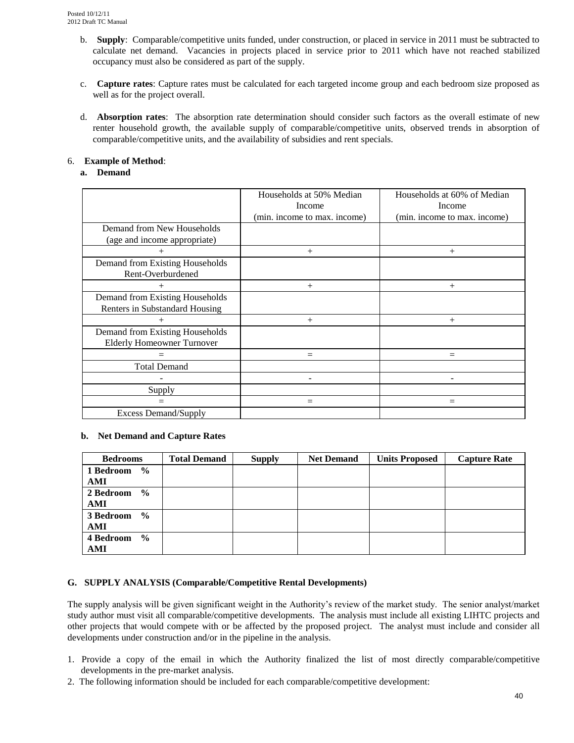- b. **Supply**: Comparable/competitive units funded, under construction, or placed in service in 2011 must be subtracted to calculate net demand. Vacancies in projects placed in service prior to 2011 which have not reached stabilized occupancy must also be considered as part of the supply.
- c. **Capture rates**: Capture rates must be calculated for each targeted income group and each bedroom size proposed as well as for the project overall.
- d. **Absorption rates**: The absorption rate determination should consider such factors as the overall estimate of new renter household growth, the available supply of comparable/competitive units, observed trends in absorption of comparable/competitive units, and the availability of subsidies and rent specials.

#### 6. **Example of Method**:

#### **a. Demand**

|                                                                      | Households at 50% Median<br>Income<br>(min. income to max. income) | Households at 60% of Median<br>Income<br>(min. income to max. income) |
|----------------------------------------------------------------------|--------------------------------------------------------------------|-----------------------------------------------------------------------|
| Demand from New Households<br>(age and income appropriate)           |                                                                    |                                                                       |
| $^{+}$                                                               | $^{+}$                                                             | $+$                                                                   |
| Demand from Existing Households<br>Rent-Overburdened                 |                                                                    |                                                                       |
| $^{+}$                                                               | $^{+}$                                                             | $+$                                                                   |
| Demand from Existing Households<br>Renters in Substandard Housing    |                                                                    |                                                                       |
| $^{+}$                                                               | $^{+}$                                                             | $+$                                                                   |
| Demand from Existing Households<br><b>Elderly Homeowner Turnover</b> |                                                                    |                                                                       |
|                                                                      | $=$                                                                | $=$                                                                   |
| <b>Total Demand</b>                                                  |                                                                    |                                                                       |
|                                                                      |                                                                    |                                                                       |
| Supply                                                               |                                                                    |                                                                       |
|                                                                      | $=$                                                                | $=$                                                                   |
| <b>Excess Demand/Supply</b>                                          |                                                                    |                                                                       |

#### **b. Net Demand and Capture Rates**

| <b>Bedrooms</b> | <b>Total Demand</b> | <b>Supply</b> | <b>Net Demand</b> | <b>Units Proposed</b> | <b>Capture Rate</b> |
|-----------------|---------------------|---------------|-------------------|-----------------------|---------------------|
| 1 Bedroom %     |                     |               |                   |                       |                     |
| AMI             |                     |               |                   |                       |                     |
| 2 Bedroom $\%$  |                     |               |                   |                       |                     |
| AMI             |                     |               |                   |                       |                     |
| 3 Bedroom %     |                     |               |                   |                       |                     |
| AMI             |                     |               |                   |                       |                     |
| 4 Bedroom %     |                     |               |                   |                       |                     |
| AMI             |                     |               |                   |                       |                     |

#### **G. SUPPLY ANALYSIS (Comparable/Competitive Rental Developments)**

The supply analysis will be given significant weight in the Authority's review of the market study. The senior analyst/market study author must visit all comparable/competitive developments. The analysis must include all existing LIHTC projects and other projects that would compete with or be affected by the proposed project. The analyst must include and consider all developments under construction and/or in the pipeline in the analysis.

- 1. Provide a copy of the email in which the Authority finalized the list of most directly comparable/competitive developments in the pre-market analysis.
- 2. The following information should be included for each comparable/competitive development: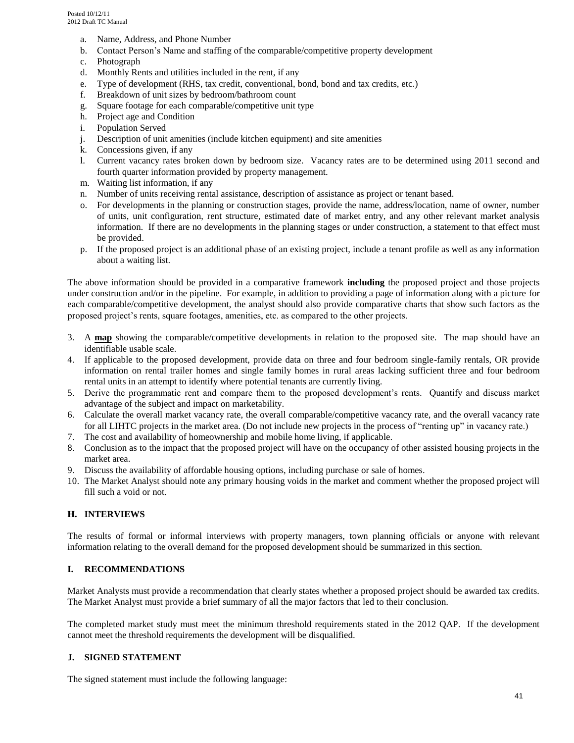- a. Name, Address, and Phone Number
- b. Contact Person's Name and staffing of the comparable/competitive property development
- c. Photograph
- d. Monthly Rents and utilities included in the rent, if any
- e. Type of development (RHS, tax credit, conventional, bond, bond and tax credits, etc.)
- f. Breakdown of unit sizes by bedroom/bathroom count
- g. Square footage for each comparable/competitive unit type
- h. Project age and Condition
- i. Population Served
- j. Description of unit amenities (include kitchen equipment) and site amenities
- k. Concessions given, if any
- l. Current vacancy rates broken down by bedroom size. Vacancy rates are to be determined using 2011 second and fourth quarter information provided by property management.
- m. Waiting list information, if any
- n. Number of units receiving rental assistance, description of assistance as project or tenant based.
- o. For developments in the planning or construction stages, provide the name, address/location, name of owner, number of units, unit configuration, rent structure, estimated date of market entry, and any other relevant market analysis information. If there are no developments in the planning stages or under construction, a statement to that effect must be provided.
- p. If the proposed project is an additional phase of an existing project, include a tenant profile as well as any information about a waiting list.

The above information should be provided in a comparative framework **including** the proposed project and those projects under construction and/or in the pipeline. For example, in addition to providing a page of information along with a picture for each comparable/competitive development, the analyst should also provide comparative charts that show such factors as the proposed project's rents, square footages, amenities, etc. as compared to the other projects.

- 3. A **map** showing the comparable/competitive developments in relation to the proposed site. The map should have an identifiable usable scale.
- 4. If applicable to the proposed development, provide data on three and four bedroom single-family rentals, OR provide information on rental trailer homes and single family homes in rural areas lacking sufficient three and four bedroom rental units in an attempt to identify where potential tenants are currently living.
- 5. Derive the programmatic rent and compare them to the proposed development's rents. Quantify and discuss market advantage of the subject and impact on marketability.
- 6. Calculate the overall market vacancy rate, the overall comparable/competitive vacancy rate, and the overall vacancy rate for all LIHTC projects in the market area. (Do not include new projects in the process of "renting up" in vacancy rate.)
- 7. The cost and availability of homeownership and mobile home living, if applicable.
- 8. Conclusion as to the impact that the proposed project will have on the occupancy of other assisted housing projects in the market area.
- 9. Discuss the availability of affordable housing options, including purchase or sale of homes.
- 10. The Market Analyst should note any primary housing voids in the market and comment whether the proposed project will fill such a void or not.

#### **H. INTERVIEWS**

The results of formal or informal interviews with property managers, town planning officials or anyone with relevant information relating to the overall demand for the proposed development should be summarized in this section.

#### **I. RECOMMENDATIONS**

Market Analysts must provide a recommendation that clearly states whether a proposed project should be awarded tax credits. The Market Analyst must provide a brief summary of all the major factors that led to their conclusion.

The completed market study must meet the minimum threshold requirements stated in the 2012 QAP. If the development cannot meet the threshold requirements the development will be disqualified.

#### **J. SIGNED STATEMENT**

The signed statement must include the following language: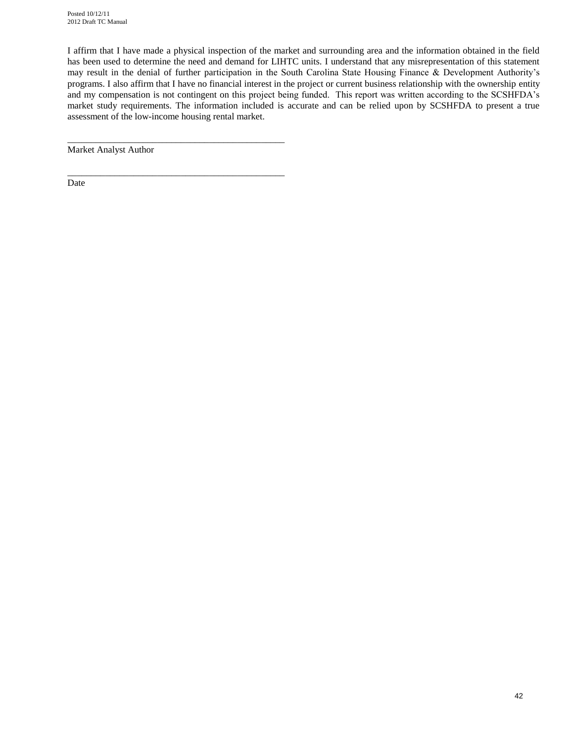I affirm that I have made a physical inspection of the market and surrounding area and the information obtained in the field has been used to determine the need and demand for LIHTC units. I understand that any misrepresentation of this statement may result in the denial of further participation in the South Carolina State Housing Finance & Development Authority's programs. I also affirm that I have no financial interest in the project or current business relationship with the ownership entity and my compensation is not contingent on this project being funded. This report was written according to the SCSHFDA's market study requirements. The information included is accurate and can be relied upon by SCSHFDA to present a true assessment of the low-income housing rental market.

Market Analyst Author

\_\_\_\_\_\_\_\_\_\_\_\_\_\_\_\_\_\_\_\_\_\_\_\_\_\_\_\_\_\_\_\_\_\_\_\_\_\_\_\_\_\_\_\_\_\_

\_\_\_\_\_\_\_\_\_\_\_\_\_\_\_\_\_\_\_\_\_\_\_\_\_\_\_\_\_\_\_\_\_\_\_\_\_\_\_\_\_\_\_\_\_\_

Date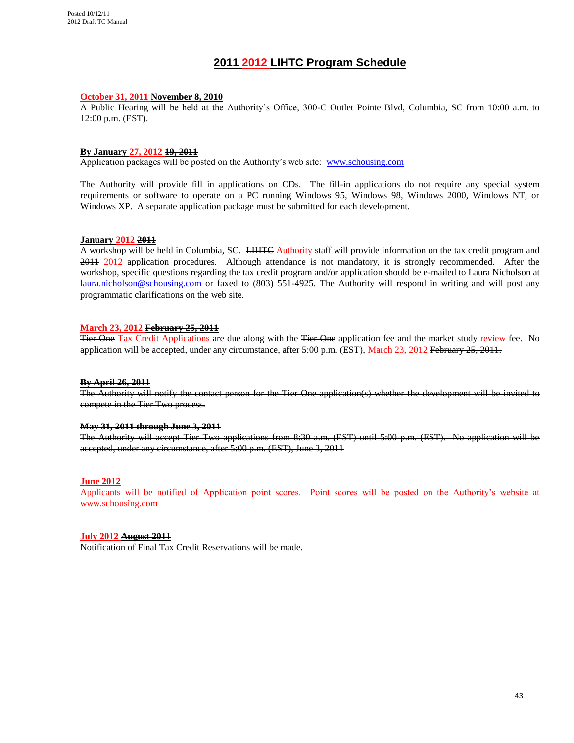#### **2011 2012 LIHTC Program Schedule**

#### **October 31, 2011 November 8, 2010**

A Public Hearing will be held at the Authority's Office, 300-C Outlet Pointe Blvd, Columbia, SC from 10:00 a.m. to 12:00 p.m. (EST).

#### **By January 27, 2012 19, 2011**

Application packages will be posted on the Authority's web site: [www.schousing.com](http://www.schousing.com/)

The Authority will provide fill in applications on CDs. The fill-in applications do not require any special system requirements or software to operate on a PC running Windows 95, Windows 98, Windows 2000, Windows NT, or Windows XP. A separate application package must be submitted for each development.

#### **January 2012 2011**

A workshop will be held in Columbia, SC. <del>LIHTC</del> Authority staff will provide information on the tax credit program and 2011 2012 application procedures. Although attendance is not mandatory, it is strongly recommended. After the workshop, specific questions regarding the tax credit program and/or application should be e-mailed to Laura Nicholson at [laura.nicholson@schousing.com](mailto:laura.nicholson@schousing.com) or faxed to (803) 551-4925. The Authority will respond in writing and will post any programmatic clarifications on the web site.

#### **March 23, 2012 February 25, 2011**

Tier One Tax Credit Applications are due along with the Tier One application fee and the market study review fee. No application will be accepted, under any circumstance, after 5:00 p.m. (EST), March 23, 2012 February 25, 2011.

#### **By April 26, 2011**

The Authority will notify the contact person for the Tier One application(s) whether the development will be invited to compete in the Tier Two process.

#### **May 31, 2011 through June 3, 2011**

The Authority will accept Tier Two applications from 8:30 a.m. (EST) until 5:00 p.m. (EST). No application will be accepted, under any circumstance, after 5:00 p.m. (EST), June 3, 2011

#### **June 2012**

Applicants will be notified of Application point scores. Point scores will be posted on the Authority's website at www.schousing.com

#### **July 2012 August 2011**

Notification of Final Tax Credit Reservations will be made.